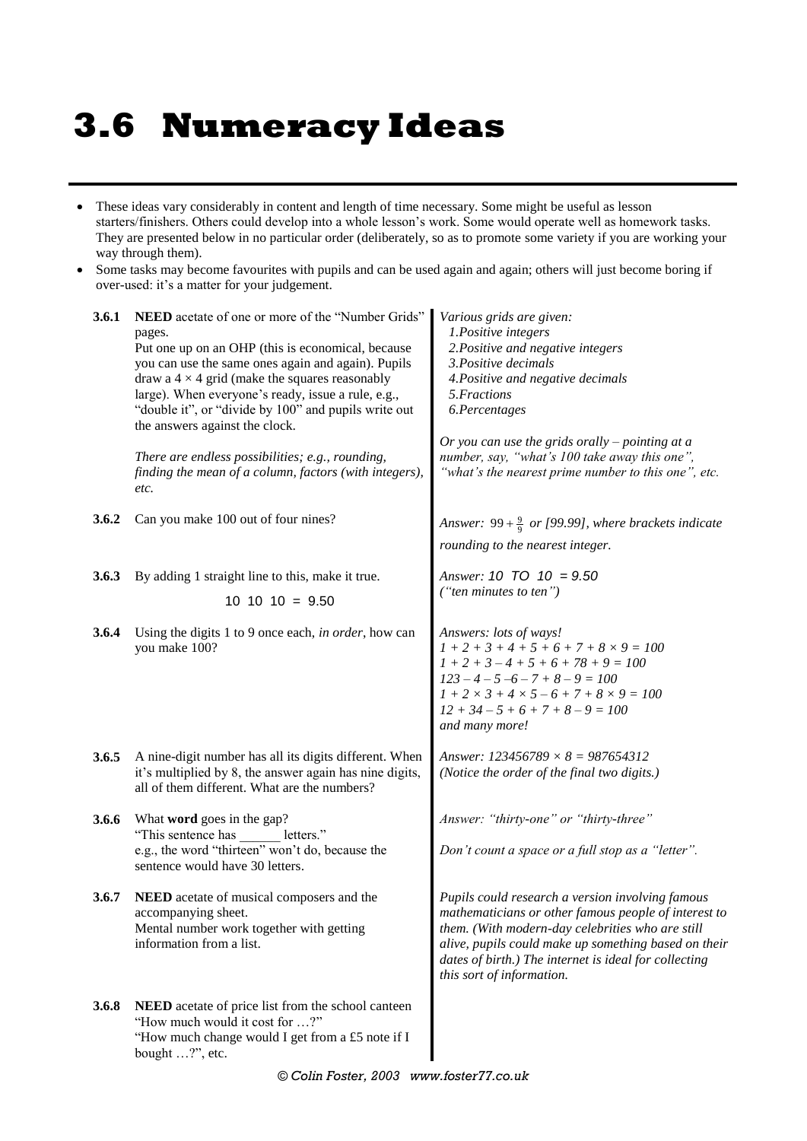# **3.6 Numeracy Ideas**

- These ideas vary considerably in content and length of time necessary. Some might be useful as lesson starters/finishers. Others could develop into a whole lesson's work. Some would operate well as homework tasks. They are presented below in no particular order (deliberately, so as to promote some variety if you are working your way through them).
- Some tasks may become favourites with pupils and can be used again and again; others will just become boring if over-used: it's a matter for your judgement.

| 3.6.1        | NEED acetate of one or more of the "Number Grids"<br>pages.<br>Put one up on an OHP (this is economical, because<br>you can use the same ones again and again). Pupils<br>draw a $4 \times 4$ grid (make the squares reasonably<br>large). When everyone's ready, issue a rule, e.g.,<br>"double it", or "divide by 100" and pupils write out<br>the answers against the clock.<br>There are endless possibilities; e.g., rounding,<br>finding the mean of a column, factors (with integers), | Various grids are given:<br>1.Positive integers<br>2. Positive and negative integers<br>3. Positive decimals<br>4. Positive and negative decimals<br>5. Fractions<br>6.Percentages<br>Or you can use the grids orally $-$ pointing at a<br>number, say, "what's 100 take away this one",<br>"what's the nearest prime number to this one", etc. |
|--------------|-----------------------------------------------------------------------------------------------------------------------------------------------------------------------------------------------------------------------------------------------------------------------------------------------------------------------------------------------------------------------------------------------------------------------------------------------------------------------------------------------|-------------------------------------------------------------------------------------------------------------------------------------------------------------------------------------------------------------------------------------------------------------------------------------------------------------------------------------------------|
|              | etc.                                                                                                                                                                                                                                                                                                                                                                                                                                                                                          |                                                                                                                                                                                                                                                                                                                                                 |
| 3.6.2        | Can you make 100 out of four nines?                                                                                                                                                                                                                                                                                                                                                                                                                                                           | Answer: $99 + \frac{9}{9}$ or [99.99], where brackets indicate<br>rounding to the nearest integer.                                                                                                                                                                                                                                              |
| <b>3.6.3</b> | By adding 1 straight line to this, make it true.<br>$10$ 10 10 = 9.50                                                                                                                                                                                                                                                                                                                                                                                                                         | Answer: $10$ TO $10 = 9.50$<br>("ten minutes to ten")                                                                                                                                                                                                                                                                                           |
| 3.6.4        | Using the digits 1 to 9 once each, in order, how can<br>you make 100?                                                                                                                                                                                                                                                                                                                                                                                                                         | Answers: lots of ways!<br>$1 + 2 + 3 + 4 + 5 + 6 + 7 + 8 \times 9 = 100$<br>$1 + 2 + 3 - 4 + 5 + 6 + 78 + 9 = 100$<br>$123 - 4 - 5 - 6 - 7 + 8 - 9 = 100$<br>$1 + 2 \times 3 + 4 \times 5 - 6 + 7 + 8 \times 9 = 100$<br>$12 + 34 - 5 + 6 + 7 + 8 - 9 = 100$<br>and many more!                                                                  |
| 3.6.5        | A nine-digit number has all its digits different. When<br>it's multiplied by 8, the answer again has nine digits,<br>all of them different. What are the numbers?                                                                                                                                                                                                                                                                                                                             | Answer: $123456789 \times 8 = 987654312$<br>(Notice the order of the final two digits.)                                                                                                                                                                                                                                                         |
| <b>3.6.6</b> | What word goes in the gap?<br>"This sentence has _______ letters."<br>e.g., the word "thirteen" won't do, because the<br>sentence would have 30 letters.                                                                                                                                                                                                                                                                                                                                      | Answer: "thirty-one" or "thirty-three"<br>Don't count a space or a full stop as a "letter".                                                                                                                                                                                                                                                     |
| 3.6.7        | NEED acetate of musical composers and the<br>accompanying sheet.<br>Mental number work together with getting<br>information from a list.                                                                                                                                                                                                                                                                                                                                                      | Pupils could research a version involving famous<br>mathematicians or other famous people of interest to<br>them. (With modern-day celebrities who are still<br>alive, pupils could make up something based on their<br>dates of birth.) The internet is ideal for collecting<br>this sort of information.                                      |
| <b>3.6.8</b> | NEED acetate of price list from the school canteen<br>"How much would it cost for ?"<br>"How much change would I get from a £5 note if I<br>bought ?", etc.                                                                                                                                                                                                                                                                                                                                   |                                                                                                                                                                                                                                                                                                                                                 |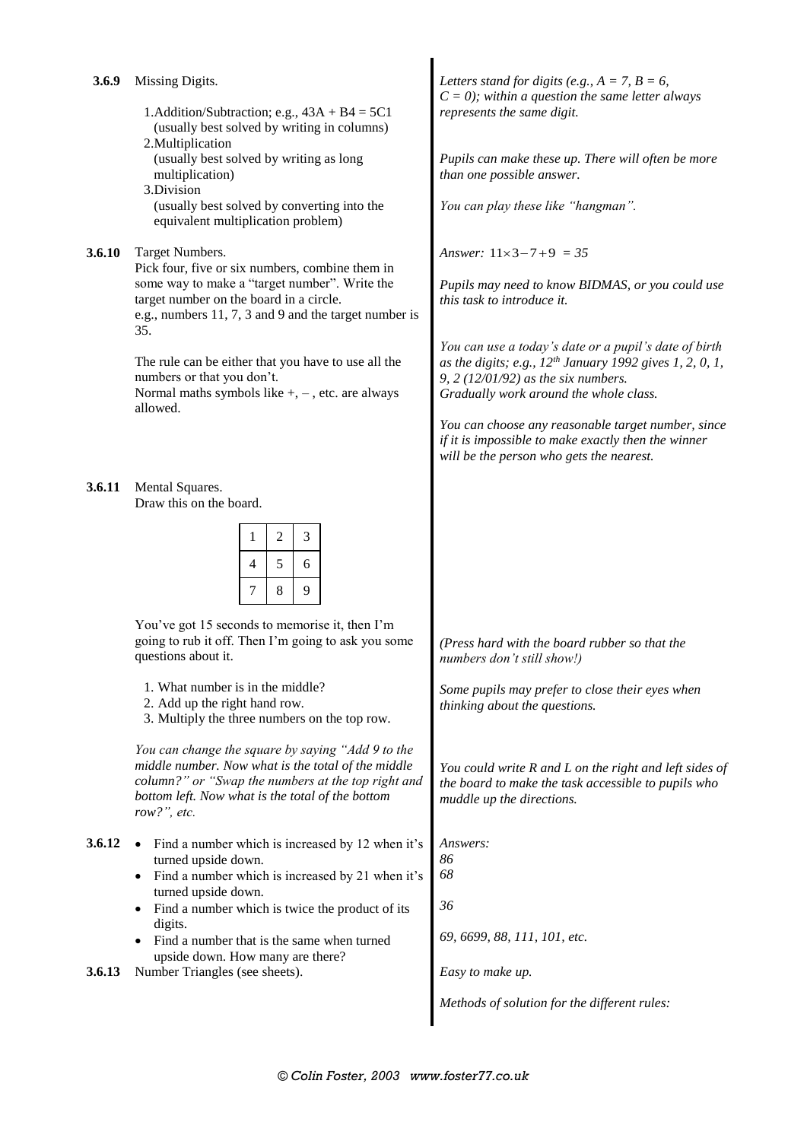1.Addition/Subtraction; e.g.,  $43A + B4 = 5C1$ (usually best solved by writing in columns)

- 2.Multiplication (usually best solved by writing as long multiplication)
- 3.Division (usually best solved by converting into the equivalent multiplication problem)

#### **3.6.10** Target Numbers.

Pick four, five or six numbers, combine them in some way to make a "target number". Write the target number on the board in a circle. e.g., numbers 11, 7, 3 and 9 and the target number is 35.

The rule can be either that you have to use all the numbers or that you don't.

Normal maths symbols like  $+$ ,  $-$ , etc. are always allowed.

**3.6.11** Mental Squares. Draw this on the board.

|   | 2 | 3 |
|---|---|---|
| 4 | 5 | 6 |
|   | 8 | 9 |

You've got 15 seconds to memorise it, then I'm going to rub it off. Then I'm going to ask you some questions about it.

- 1. What number is in the middle?
- 2. Add up the right hand row.
- 3. Multiply the three numbers on the top row.

*You can change the square by saying "Add 9 to the middle number. Now what is the total of the middle column?" or "Swap the numbers at the top right and bottom left. Now what is the total of the bottom row?", etc.*

- **3.6.12** Find a number which is increased by 12 when it's turned upside down.
	- Find a number which is increased by 21 when it's turned upside down.
	- Find a number which is twice the product of its digits.
	- Find a number that is the same when turned upside down. How many are there?
- **3.6.13** Number Triangles (see sheets). *Easy to make up.*

Letters stand for digits (e.g.,  $A = 7$ ,  $B = 6$ , *C = 0); within a question the same letter always represents the same digit.*

*Pupils can make these up. There will often be more than one possible answer.*

*You can play these like "hangman".*

*Answer*:  $11 \times 3 - 7 + 9 = 35$ 

*Pupils may need to know BIDMAS, or you could use this task to introduce it.*

*You can use a today's date or a pupil's date of birth as the digits; e.g., 12th January 1992 gives 1, 2, 0, 1, 9, 2 (12/01/92) as the six numbers. Gradually work around the whole class.*

*You can choose any reasonable target number, since if it is impossible to make exactly then the winner will be the person who gets the nearest.*

*(Press hard with the board rubber so that the numbers don't still show!)*

*Some pupils may prefer to close their eyes when thinking about the questions.*

*You could write R and L on the right and left sides of the board to make the task accessible to pupils who muddle up the directions.*

*69, 6699, 88, 111, 101, etc.*

*Methods of solution for the different rules:*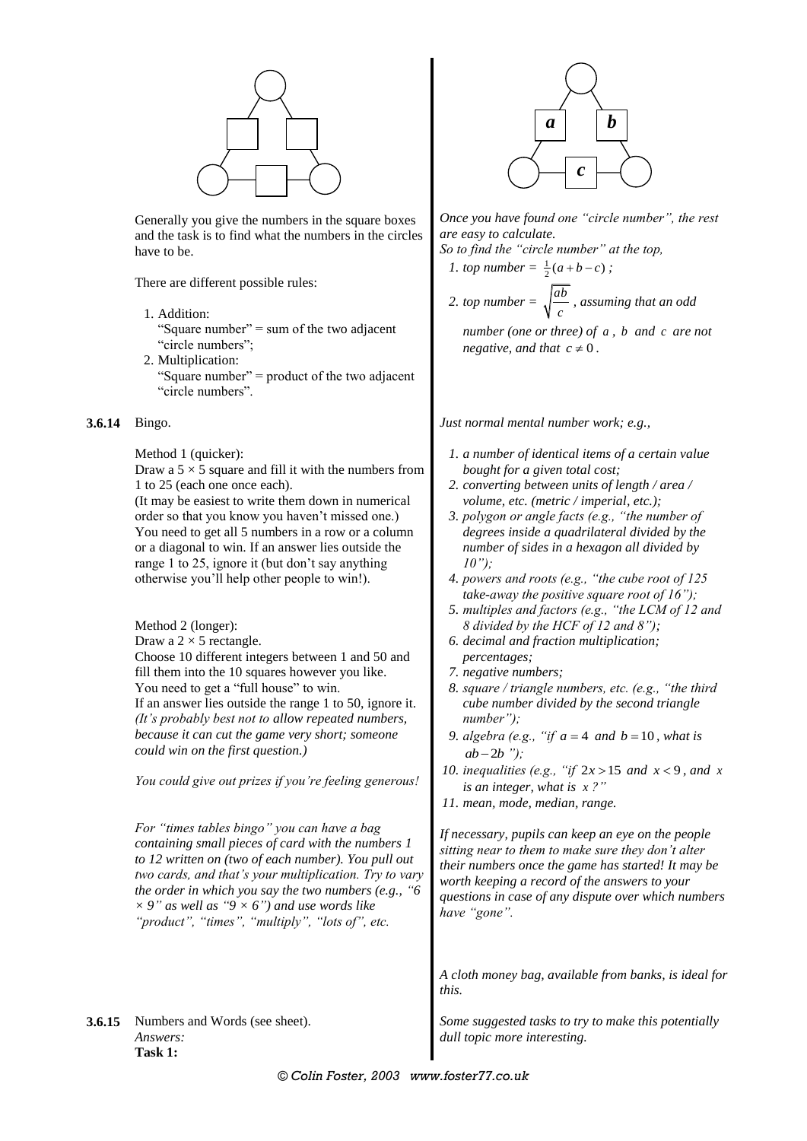

Generally you give the numbers in the square boxes and the task is to find what the numbers in the circles have to be.

There are different possible rules:

1. Addition:

"Square number" = sum of the two adjacent "circle numbers";

2. Multiplication: "Square number" = product of the two adjacent "circle numbers".

#### **3.6.14** Bingo.

Method 1 (quicker):

Draw a  $5 \times 5$  square and fill it with the numbers from 1 to 25 (each one once each).

(It may be easiest to write them down in numerical order so that you know you haven't missed one.) You need to get all 5 numbers in a row or a column or a diagonal to win. If an answer lies outside the range 1 to 25, ignore it (but don't say anything otherwise you'll help other people to win!).

Method 2 (longer):

Draw a  $2 \times 5$  rectangle.

Choose 10 different integers between 1 and 50 and fill them into the 10 squares however you like. You need to get a "full house" to win. If an answer lies outside the range 1 to 50, ignore it. *(It's probably best not to allow repeated numbers, because it can cut the game very short; someone could win on the first question.)*

*You could give out prizes if you're feeling generous!*

*For "times tables bingo" you can have a bag containing small pieces of card with the numbers 1 to 12 written on (two of each number). You pull out two cards, and that's your multiplication. Try to vary the order in which you say the two numbers (e.g., "6*   $\times$  9" *as well as* "9  $\times$  6") *and use words like "product", "times", "multiply", "lots of", etc.*

**3.6.15** Numbers and Words (see sheet). *Answers:* **Task 1:**



*Once you have found one "circle number", the rest are easy to calculate.*

*So to find the "circle number" at the top,*

1. top number = 
$$
\frac{1}{2}(a+b-c)
$$
;

2. top number = 
$$
\sqrt{\frac{ab}{c}}
$$
, assuming that an odd

*number (one or three) of a , b and c are not negative, and that*  $c \neq 0$ .

*Just normal mental number work; e.g.,*

- *1. a number of identical items of a certain value bought for a given total cost;*
- *2. converting between units of length / area / volume, etc. (metric / imperial, etc.);*
- *3. polygon or angle facts (e.g., "the number of degrees inside a quadrilateral divided by the number of sides in a hexagon all divided by 10");*
- *4. powers and roots (e.g., "the cube root of 125 take-away the positive square root of 16");*
- *5. multiples and factors (e.g., "the LCM of 12 and 8 divided by the HCF of 12 and 8");*
- *6. decimal and fraction multiplication; percentages;*
- *7. negative numbers;*
- *8. square / triangle numbers, etc. (e.g., "the third cube number divided by the second triangle number");*
- *9. algebra (e.g., "if*  $a = 4$  *and*  $b = 10$ *, what is*  $ab - 2b$  ");
- 10. *inequalities (e.g., "if*  $2x > 15$  *and*  $x < 9$ *, and*  $x$ *is an integer, what is x ?"*
- *11. mean, mode, median, range.*

*If necessary, pupils can keep an eye on the people sitting near to them to make sure they don't alter their numbers once the game has started! It may be worth keeping a record of the answers to your questions in case of any dispute over which numbers have "gone".*

*A cloth money bag, available from banks, is ideal for this.*

*Some suggested tasks to try to make this potentially dull topic more interesting.*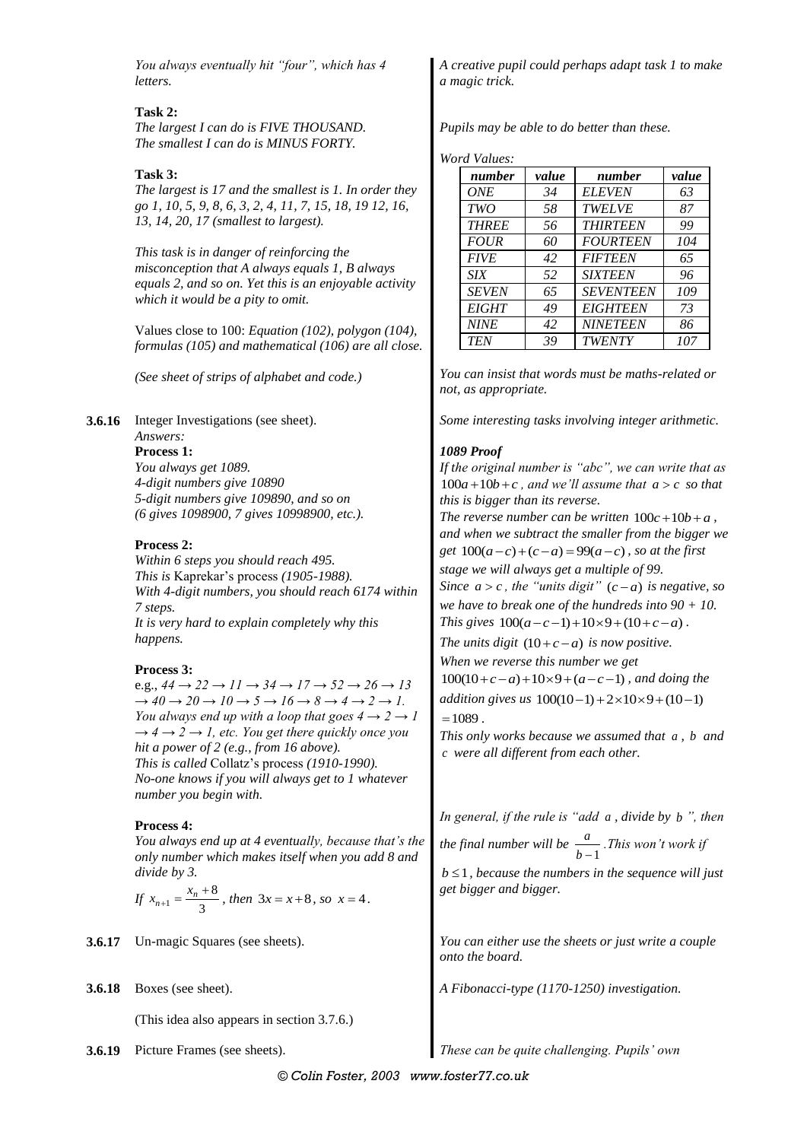*You always eventually hit "four", which has 4 letters.*

#### **Task 2:**

*The largest I can do is FIVE THOUSAND. The smallest I can do is MINUS FORTY.*

#### **Task 3:**

*The largest is 17 and the smallest is 1. In order they go 1, 10, 5, 9, 8, 6, 3, 2, 4, 11, 7, 15, 18, 19 12, 16, 13, 14, 20, 17 (smallest to largest).*

*This task is in danger of reinforcing the misconception that A always equals 1, B always equals 2, and so on. Yet this is an enjoyable activity which it would be a pity to omit.*

Values close to 100: *Equation (102), polygon (104), formulas (105) and mathematical (106) are all close.*

*(See sheet of strips of alphabet and code.)*

#### **3.6.16** Integer Investigations (see sheet).

#### *Answers:*

**Process 1:** *You always get 1089. 4-digit numbers give 10890 5-digit numbers give 109890, and so on (6 gives 1098900, 7 gives 10998900, etc.).*

#### **Process 2:**

*Within 6 steps you should reach 495. This is* Kaprekar's process *(1905-1988). With 4-digit numbers, you should reach 6174 within 7 steps. It is very hard to explain completely why this happens.*

#### **Process 3:**

e.g.,  $44 \rightarrow 22 \rightarrow 11 \rightarrow 34 \rightarrow 17 \rightarrow 52 \rightarrow 26 \rightarrow 13$  $\rightarrow 40 \rightarrow 20 \rightarrow 10 \rightarrow 5 \rightarrow 16 \rightarrow 8 \rightarrow 4 \rightarrow 2 \rightarrow 1$ . *You always end up with a loop that goes*  $4 \rightarrow 2 \rightarrow 1$  $\rightarrow$  4  $\rightarrow$  2  $\rightarrow$  1, etc. You get there quickly once you *hit a power of 2 (e.g., from 16 above). This is called* Collatz's process *(1910-1990). No-one knows if you will always get to 1 whatever number you begin with.*

#### **Process 4:**

*You always end up at 4 eventually, because that's the only number which makes itself when you add 8 and divide by 3.*

If 
$$
x_{n+1} = \frac{x_n + 8}{3}
$$
, then  $3x = x + 8$ , so  $x = 4$ .

- 
- **3.6.18** Boxes (see sheet).

(This idea also appears in section 3.7.6.)

*A creative pupil could perhaps adapt task 1 to make a magic trick.*

*Pupils may be able to do better than these.*

*Word Values:*

| number       | value | number           | value |
|--------------|-------|------------------|-------|
| <b>ONE</b>   | 34    | <b>ELEVEN</b>    | 63    |
| <b>TWO</b>   | 58    | <b>TWELVE</b>    | 87    |
| <b>THREE</b> | 56    | <b>THIRTEEN</b>  | 99    |
| <b>FOUR</b>  | 60    | <b>FOURTEEN</b>  | 104   |
| <b>FIVE</b>  | 42    | <b>FIFTEEN</b>   | 65    |
| <b>SIX</b>   | 52    | <b>SIXTEEN</b>   | 96    |
| <b>SEVEN</b> | 65    | <b>SEVENTEEN</b> | 109   |
| <b>EIGHT</b> | 49    | <b>EIGHTEEN</b>  | 73    |
| <b>NINE</b>  | 42    | <b>NINETEEN</b>  | 86    |
| <b>TEN</b>   | 39    | <b>TWENTY</b>    | 107   |

*You can insist that words must be maths-related or not, as appropriate.*

*Some interesting tasks involving integer arithmetic.*

#### *1089 Proof*

*If the original number is "abc", we can write that as*   $100a + 10b + c$ , and we'll assume that  $a > c$  so that *this is bigger than its reverse.* The reverse number can be written  $100c + 10b + a$ ,

*and when we subtract the smaller from the bigger we get*  $100(a-c)+(c-a) = 99(a-c)$ , so at the first *stage we will always get a multiple of 99.*

*Since*  $a > c$ , the "units digit"  $(c - a)$  is negative, so *we have to break one of the hundreds into 90 + 10. we nave to preak one of the nunareas into 90*<br> *This gives*  $100(a-c-1) + 10 \times 9 + (10+c-a)$ .

*The units digit*  $(10+c-a)$  *is now positive.* 

*When we reverse this number we get* 

when we reverse this number we get<br> $100(10+c-a)+10\times9+(a-c-1)$ , and doing the

*addition gives us*  $100(10-1) + 2 \times 10 \times 9 + (10-1)$  $=1089$ .

*This only works because we assumed that a , b and c were all different from each other.*

*In general, if the rule is "add a , divide by b ", then* 

*the final number will be*  $\frac{a}{b-1}$ *a*  $\frac{a}{b-1}$ . This won't work if

 $b \leq 1$ , because the numbers in the sequence will just *get bigger and bigger.*

**3.6.17** Un-magic Squares (see sheets). *You can either use the sheets or just write a couple onto the board.*

*A Fibonacci-type (1170-1250) investigation.*

**3.6.19** Picture Frames (see sheets). *These can be quite challenging. Pupils' own*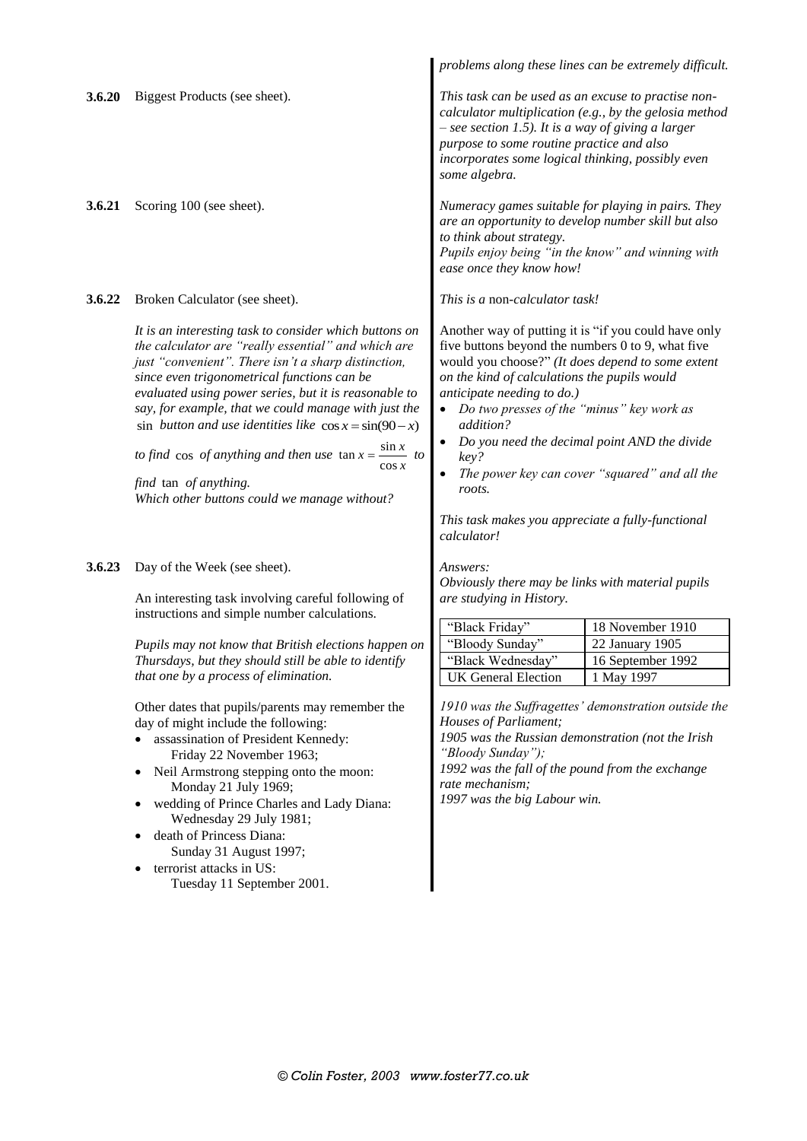|        |                                                                                                                                                                                                                                                                                                                                                                                                                                                                                                                                                                                                       |                                                                                                                                                                                                                                                                                                                                                                                              | problems along these lines can be extremely difficult.                                        |
|--------|-------------------------------------------------------------------------------------------------------------------------------------------------------------------------------------------------------------------------------------------------------------------------------------------------------------------------------------------------------------------------------------------------------------------------------------------------------------------------------------------------------------------------------------------------------------------------------------------------------|----------------------------------------------------------------------------------------------------------------------------------------------------------------------------------------------------------------------------------------------------------------------------------------------------------------------------------------------------------------------------------------------|-----------------------------------------------------------------------------------------------|
| 3.6.20 | Biggest Products (see sheet).                                                                                                                                                                                                                                                                                                                                                                                                                                                                                                                                                                         | This task can be used as an excuse to practise non-<br>calculator multiplication (e.g., by the gelosia method<br>$-$ see section 1.5). It is a way of giving a larger<br>purpose to some routine practice and also<br>incorporates some logical thinking, possibly even<br>some algebra.                                                                                                     |                                                                                               |
| 3.6.21 | Scoring 100 (see sheet).                                                                                                                                                                                                                                                                                                                                                                                                                                                                                                                                                                              | Numeracy games suitable for playing in pairs. They<br>are an opportunity to develop number skill but also<br>to think about strategy.<br>Pupils enjoy being "in the know" and winning with<br>ease once they know how!                                                                                                                                                                       |                                                                                               |
| 3.6.22 | Broken Calculator (see sheet).                                                                                                                                                                                                                                                                                                                                                                                                                                                                                                                                                                        | This is a non-calculator task!                                                                                                                                                                                                                                                                                                                                                               |                                                                                               |
|        | It is an interesting task to consider which buttons on<br>the calculator are "really essential" and which are<br>just "convenient". There isn't a sharp distinction,<br>since even trigonometrical functions can be<br>evaluated using power series, but it is reasonable to<br>say, for example, that we could manage with just the<br>sin button and use identities like $\cos x = \sin(90 - x)$<br>$\sin x$<br>to find cos of anything and then use $\tan x =$<br>$\stackrel{\scriptscriptstyle\Delta}{=}$ to<br>$\cos x$<br>find tan of anything.<br>Which other buttons could we manage without? | Another way of putting it is "if you could have only<br>five buttons beyond the numbers 0 to 9, what five<br>would you choose?" (It does depend to some extent<br>on the kind of calculations the pupils would<br>anticipate needing to do.)<br>Do two presses of the "minus" key work as<br>addition?<br>key?<br>roots.<br>This task makes you appreciate a fully-functional<br>calculator! | Do you need the decimal point AND the divide<br>The power key can cover "squared" and all the |
| 3.6.23 | Day of the Week (see sheet).<br>An interesting task involving careful following of                                                                                                                                                                                                                                                                                                                                                                                                                                                                                                                    | Answers:<br>Obviously there may be links with material pupils<br>are studying in History.                                                                                                                                                                                                                                                                                                    |                                                                                               |
|        | instructions and simple number calculations.                                                                                                                                                                                                                                                                                                                                                                                                                                                                                                                                                          |                                                                                                                                                                                                                                                                                                                                                                                              |                                                                                               |
|        |                                                                                                                                                                                                                                                                                                                                                                                                                                                                                                                                                                                                       | "Black Friday"                                                                                                                                                                                                                                                                                                                                                                               | 18 November 1910                                                                              |
|        | Pupils may not know that British elections happen on                                                                                                                                                                                                                                                                                                                                                                                                                                                                                                                                                  | "Bloody Sunday"                                                                                                                                                                                                                                                                                                                                                                              | 22 January 1905                                                                               |
|        | Thursdays, but they should still be able to identify                                                                                                                                                                                                                                                                                                                                                                                                                                                                                                                                                  | "Black Wednesday"                                                                                                                                                                                                                                                                                                                                                                            | 16 September 1992                                                                             |
|        | that one by a process of elimination.                                                                                                                                                                                                                                                                                                                                                                                                                                                                                                                                                                 | <b>UK General Election</b>                                                                                                                                                                                                                                                                                                                                                                   | 1 May 1997                                                                                    |
|        | Other dates that pupils/parents may remember the<br>day of might include the following:<br>• assassination of President Kennedy:<br>Friday 22 November 1963;<br>Neil Armstrong stepping onto the moon:<br>Monday 21 July 1969;<br>wedding of Prince Charles and Lady Diana:<br>Wednesday 29 July 1981;<br>death of Princess Diana:<br>Sunday 31 August 1997;<br>terrorist attacks in US:<br>Tuesday 11 September 2001.                                                                                                                                                                                | Houses of Parliament;<br>1905 was the Russian demonstration (not the Irish<br>"Bloody Sunday");<br>1992 was the fall of the pound from the exchange<br>rate mechanism;<br>1997 was the big Labour win.                                                                                                                                                                                       | 1910 was the Suffragettes' demonstration outside the                                          |

Tuesday 11 September 2001.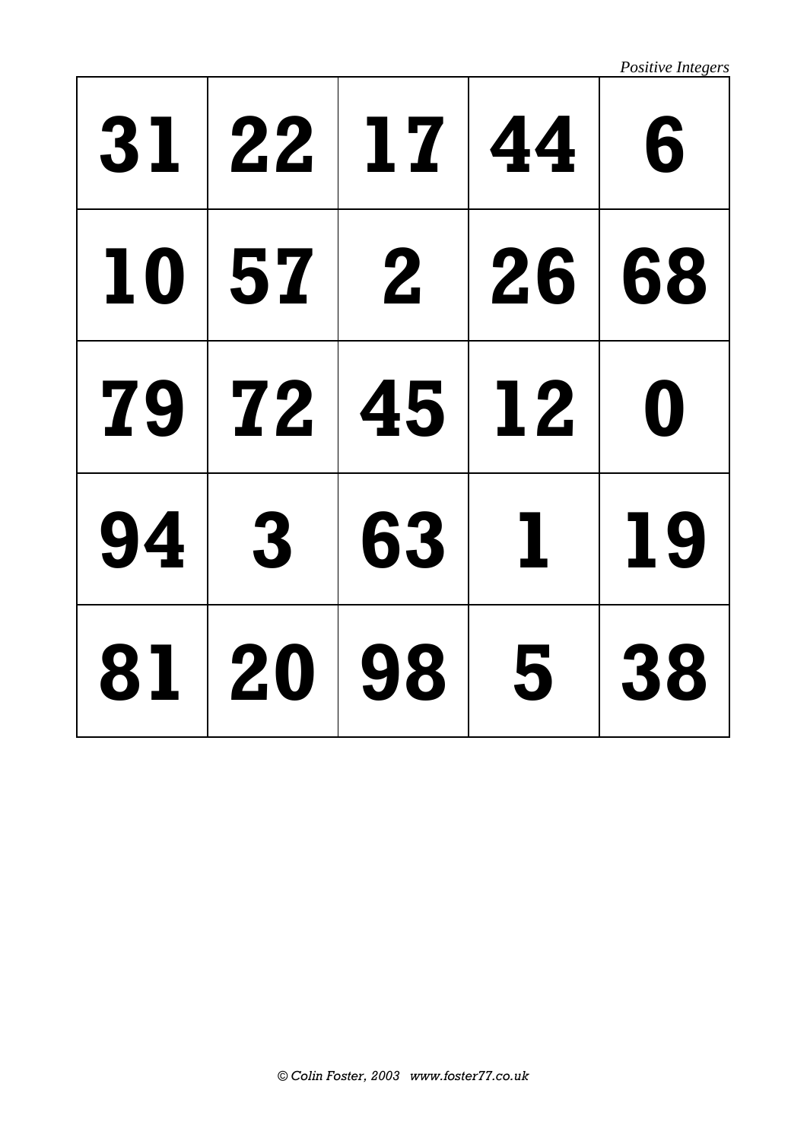*Positive Integers*

| 31 | $\vert$ 22   | 17 | $\vert 44 \vert$ | 6                |
|----|--------------|----|------------------|------------------|
| 10 | 57 2 26      |    |                  | 68               |
| 79 | <b>72</b>    | 45 | $\vert$ 12       | $\boldsymbol{0}$ |
| 94 | $\mathbf{3}$ | 63 | $\mathbf 1$      | 19               |
| 81 | <b>20</b>    | 98 | 5                | 38               |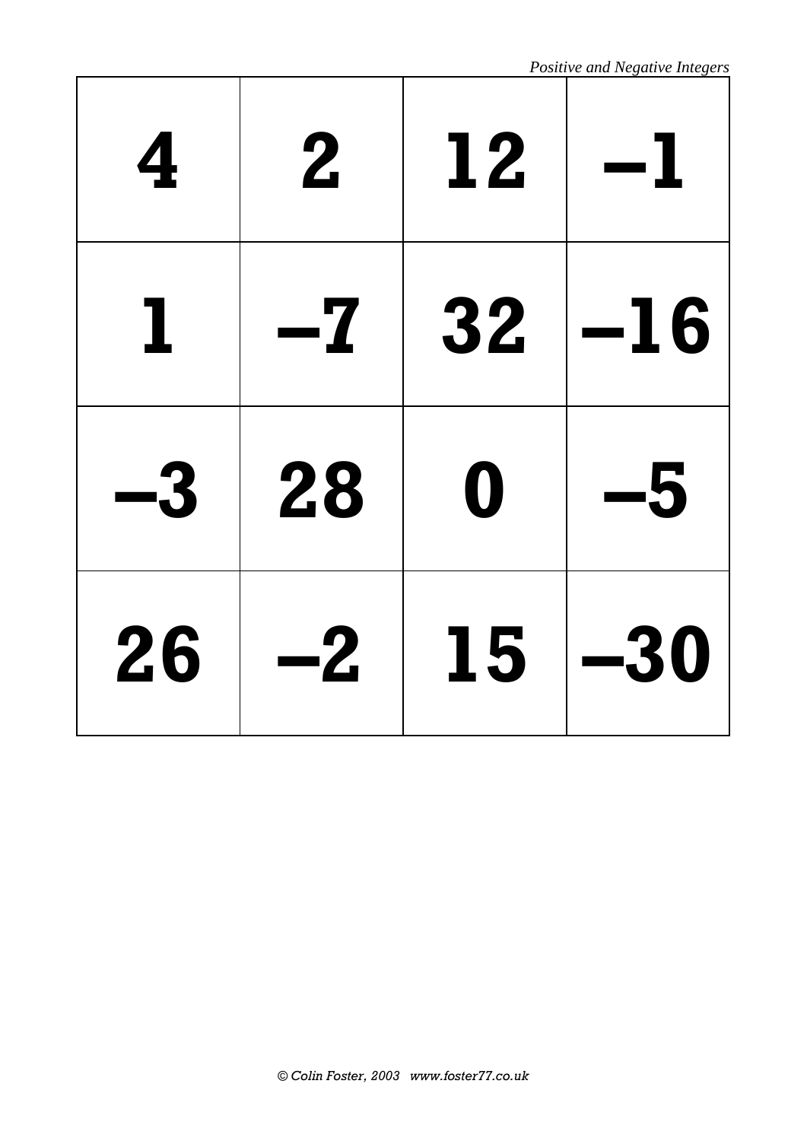| 4  | $\mathbf 2$ | 12               |       |
|----|-------------|------------------|-------|
|    | -7          | 32               | $-16$ |
| -3 | 28          | $\boldsymbol{0}$ | -5    |
| 26 | $-2$        | 15               | -30   |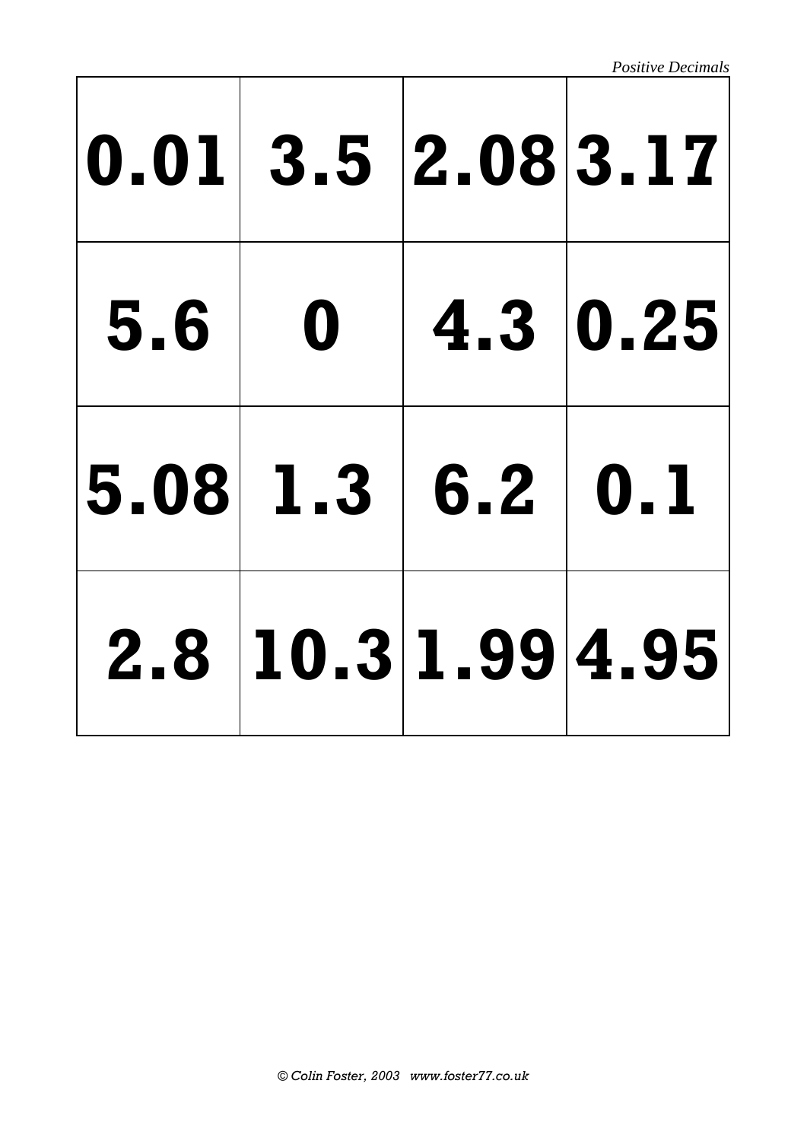*Positive Decimals*

|                  | 0.01 3.5 2.08 3.17 |  |
|------------------|--------------------|--|
|                  | $5.6$ 0 4.3 0.25   |  |
| 5.08 1.3 6.2 0.1 |                    |  |
|                  | 2.8 10.3 1.99 4.95 |  |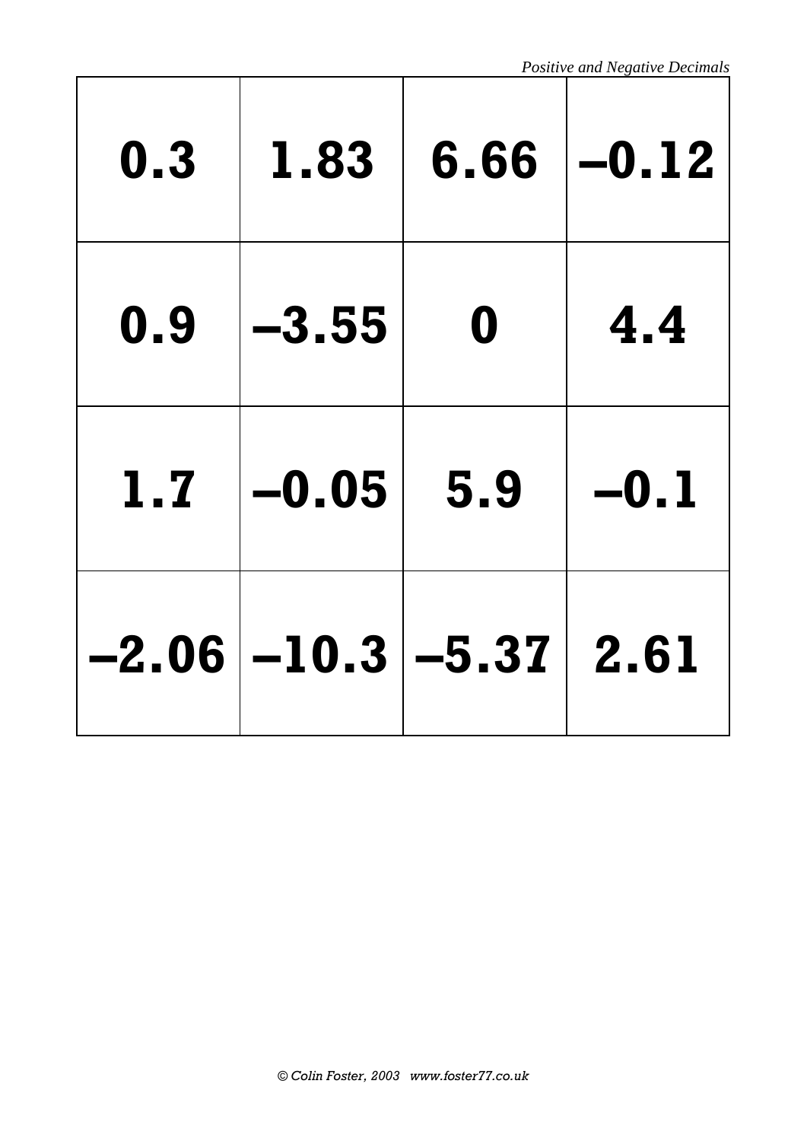| 0.3 | 1.83                           | 6.66             | $-0.12$ |
|-----|--------------------------------|------------------|---------|
| 0.9 | $-3.55$                        | $\boldsymbol{0}$ | 4.4     |
| 1.7 | $-0.05$                        | 5.9              | $-0.1$  |
|     | $-2.06$ $-10.3$ $-5.37$ $2.61$ |                  |         |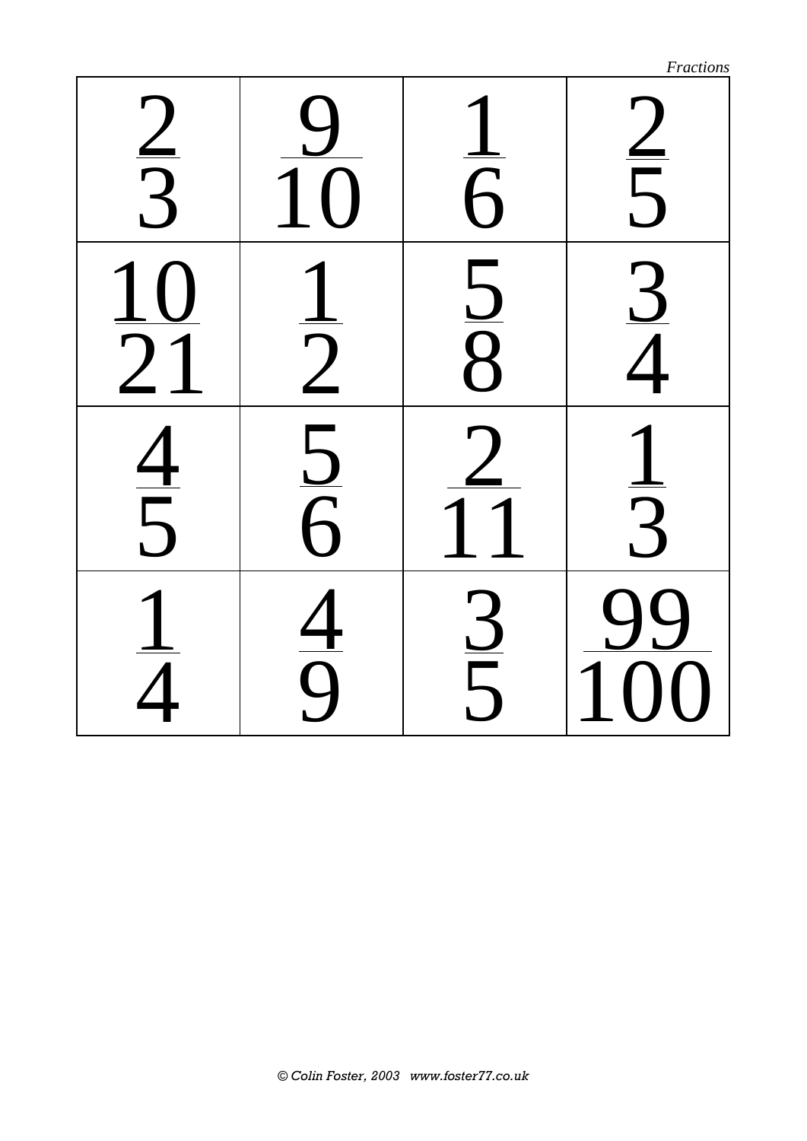|                 |               |               | Fractions                   |
|-----------------|---------------|---------------|-----------------------------|
| $\frac{2}{3}$   |               | $\frac{1}{6}$ |                             |
| $\frac{10}{21}$ | $\frac{1}{2}$ | $\frac{5}{8}$ | $\frac{2}{3}$ $\frac{1}{4}$ |
| $\frac{4}{5}$   | $\frac{1}{5}$ |               | $\frac{1}{3}$               |
|                 | $\frac{4}{9}$ | $\frac{3}{5}$ |                             |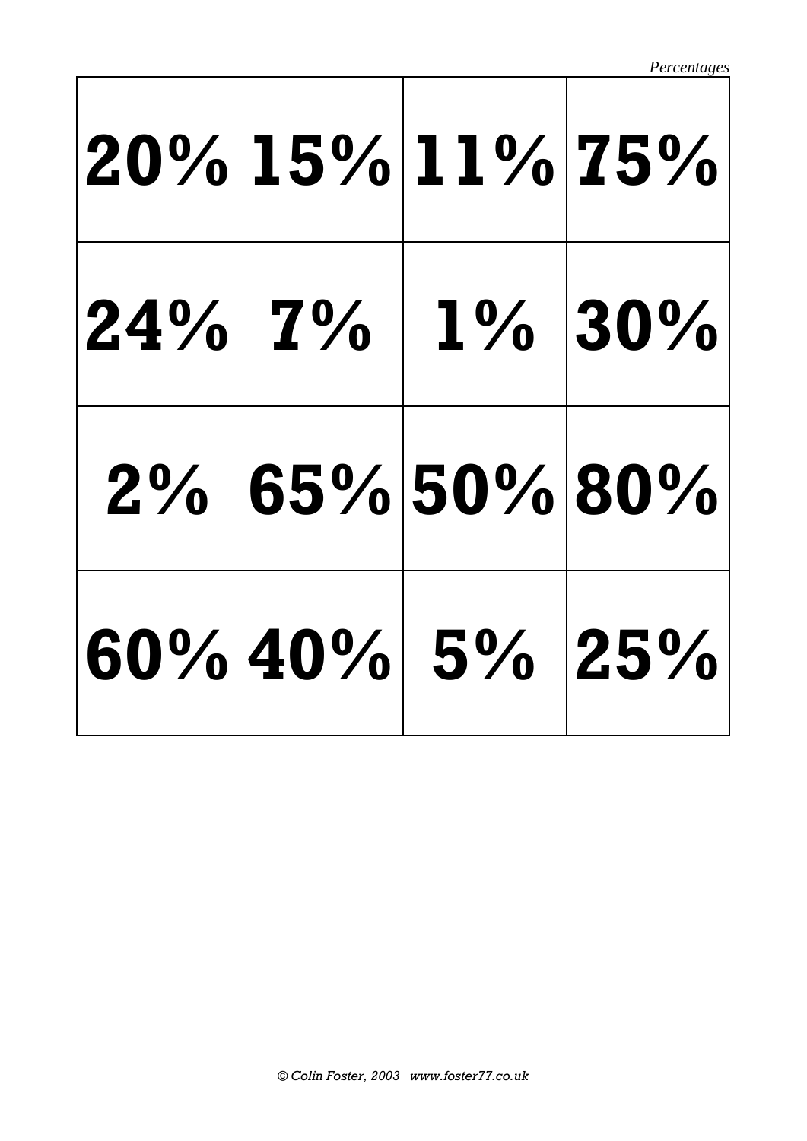*Percentages*

| $ 20\% 15\% 11\% 75\% $ |                        |  |
|-------------------------|------------------------|--|
|                         | $ 24\% 7\% 1\% 30\%$   |  |
|                         | 2% 65% 50% 80%         |  |
|                         | $ 60\% 40\% 5\% 25\% $ |  |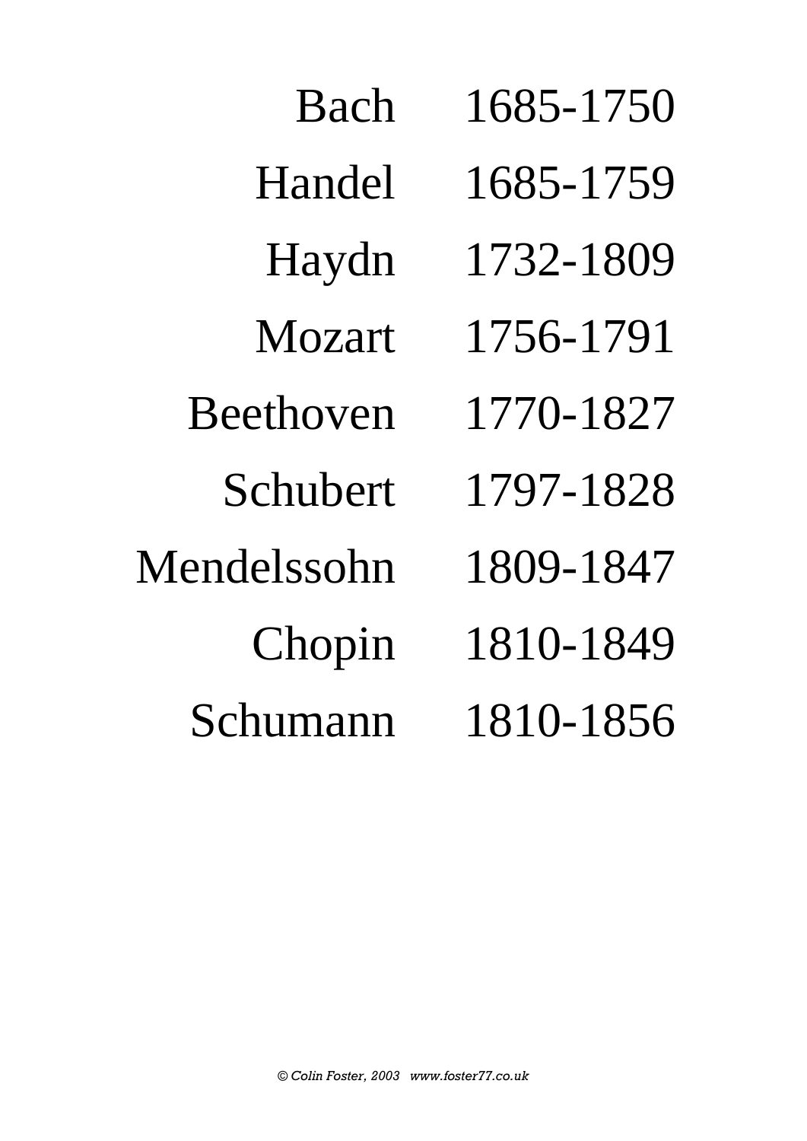Bach 1685-1750 Handel 1685-1759 Haydn 1732-1809 Mozart 1756-1791 Beethoven 1770-1827 Schubert 1797-1828 Mendelssohn 1809-1847 Chopin 1810-1849 Schumann 1810-1856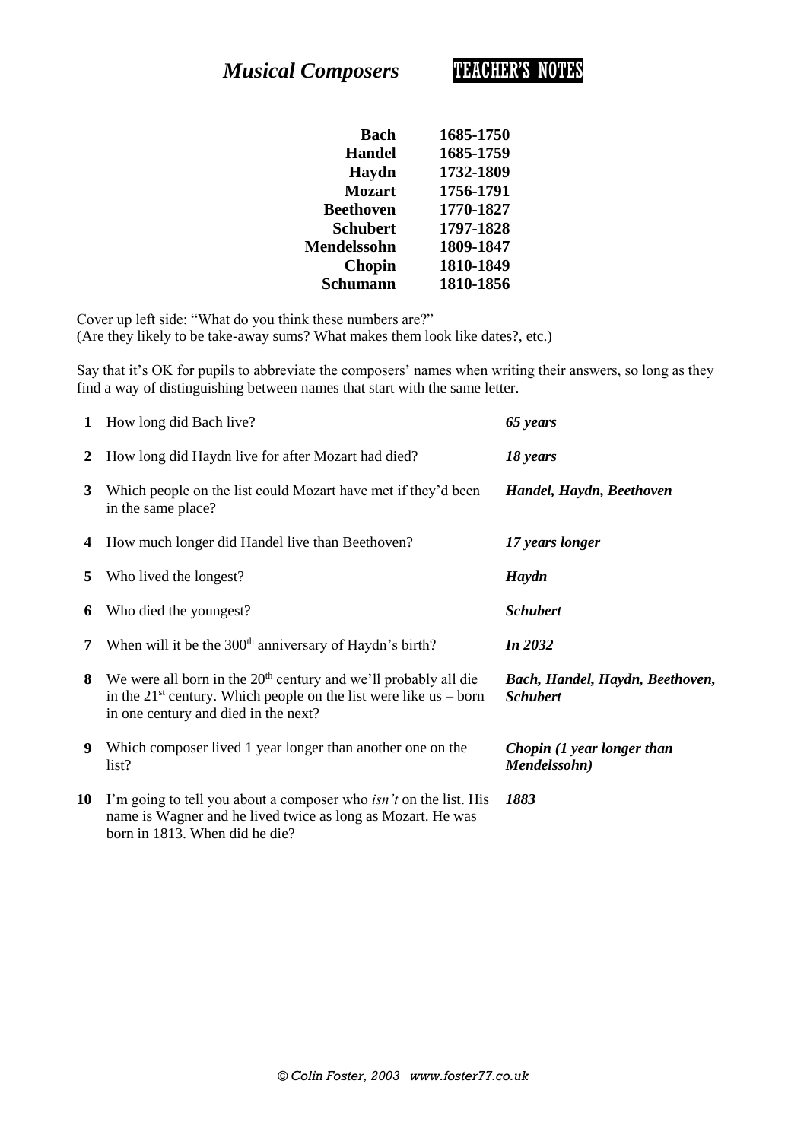*Musical Composers* TEACHER'S NOTES

| Bach               | 1685-1750 |
|--------------------|-----------|
| <b>Handel</b>      | 1685-1759 |
| Haydn              | 1732-1809 |
| <b>Mozart</b>      | 1756-1791 |
| <b>Beethoven</b>   | 1770-1827 |
| <b>Schubert</b>    | 1797-1828 |
| <b>Mendelssohn</b> | 1809-1847 |
| <b>Chopin</b>      | 1810-1849 |
| Schumann           | 1810-1856 |

Cover up left side: "What do you think these numbers are?" (Are they likely to be take-away sums? What makes them look like dates?, etc.)

Say that it's OK for pupils to abbreviate the composers' names when writing their answers, so long as they find a way of distinguishing between names that start with the same letter.

| 1  | How long did Bach live?                                                                                                                                                                       | 65 years                                           |
|----|-----------------------------------------------------------------------------------------------------------------------------------------------------------------------------------------------|----------------------------------------------------|
| 2  | How long did Haydn live for after Mozart had died?                                                                                                                                            | 18 years                                           |
| 3  | Which people on the list could Mozart have met if they'd been<br>in the same place?                                                                                                           | Handel, Haydn, Beethoven                           |
| 4  | How much longer did Handel live than Beethoven?                                                                                                                                               | 17 years longer                                    |
| 5  | Who lived the longest?                                                                                                                                                                        | Haydn                                              |
| 6  | Who died the youngest?                                                                                                                                                                        | <b>Schubert</b>                                    |
| 7  | When will it be the 300 <sup>th</sup> anniversary of Haydn's birth?                                                                                                                           | In 2032                                            |
| 8  | We were all born in the 20 <sup>th</sup> century and we'll probably all die<br>in the $21^{st}$ century. Which people on the list were like us – born<br>in one century and died in the next? | Bach, Handel, Haydn, Beethoven,<br><b>Schubert</b> |
| 9  | Which composer lived 1 year longer than another one on the<br>list?                                                                                                                           | Chopin (1 year longer than<br>Mendelssohn)         |
| 10 | I'm going to tell you about a composer who <i>isn't</i> on the list. His<br>name is Wagner and he lived twice as long as Mozart. He was<br>born in 1813. When did he die?                     | 1883                                               |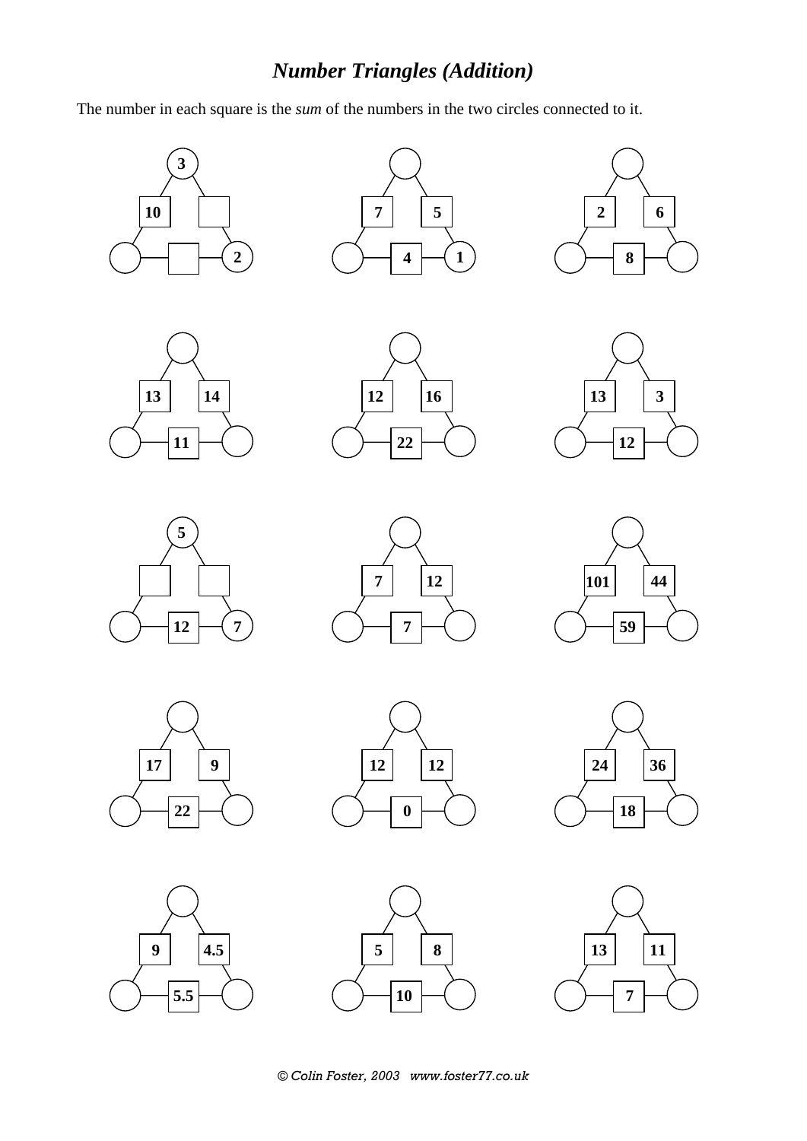## *Number Triangles (Addition)*

The number in each square is the *sum* of the numbers in the two circles connected to it.































*© Colin Foster, 2003 www.foster77.co.uk*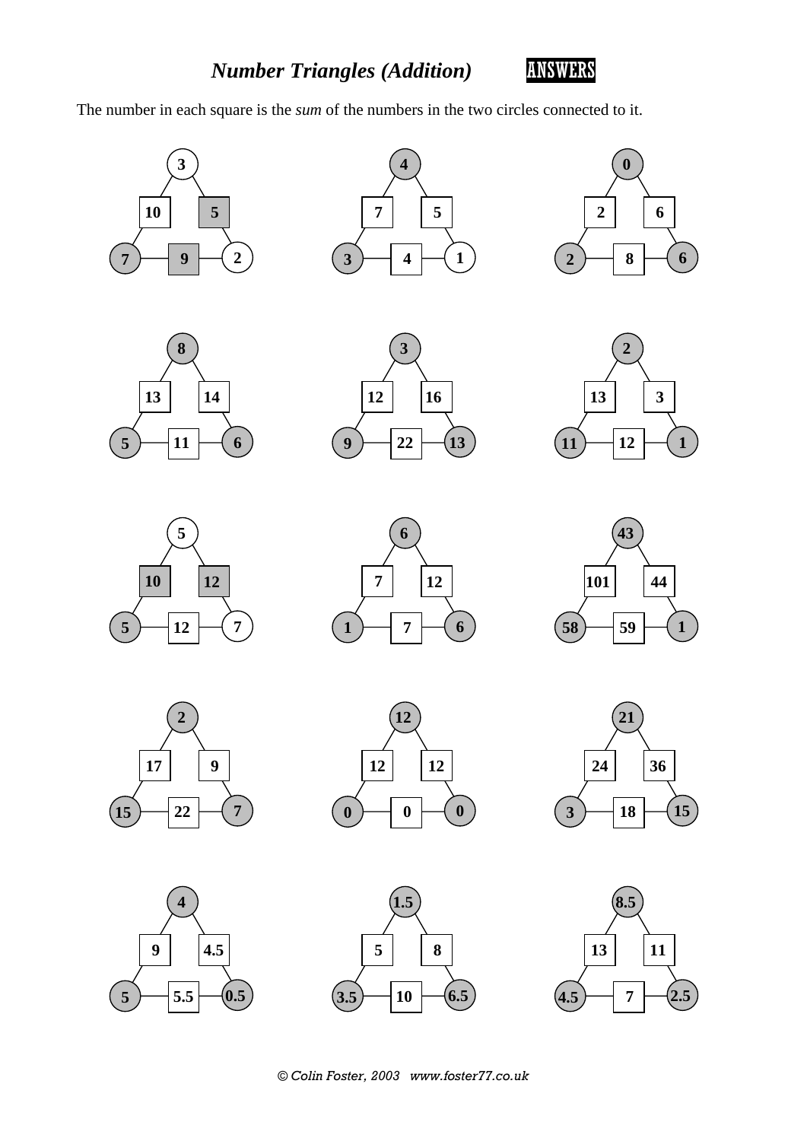

The number in each square is the *sum* of the numbers in the two circles connected to it.































 $\left( 3.5 \right)$   $\left. \left. \right)$   $\left. \right)$   $\left. \right)$   $\left( 6.5 \right)$ 

**1.5**

*© Colin Foster, 2003 www.foster77.co.uk*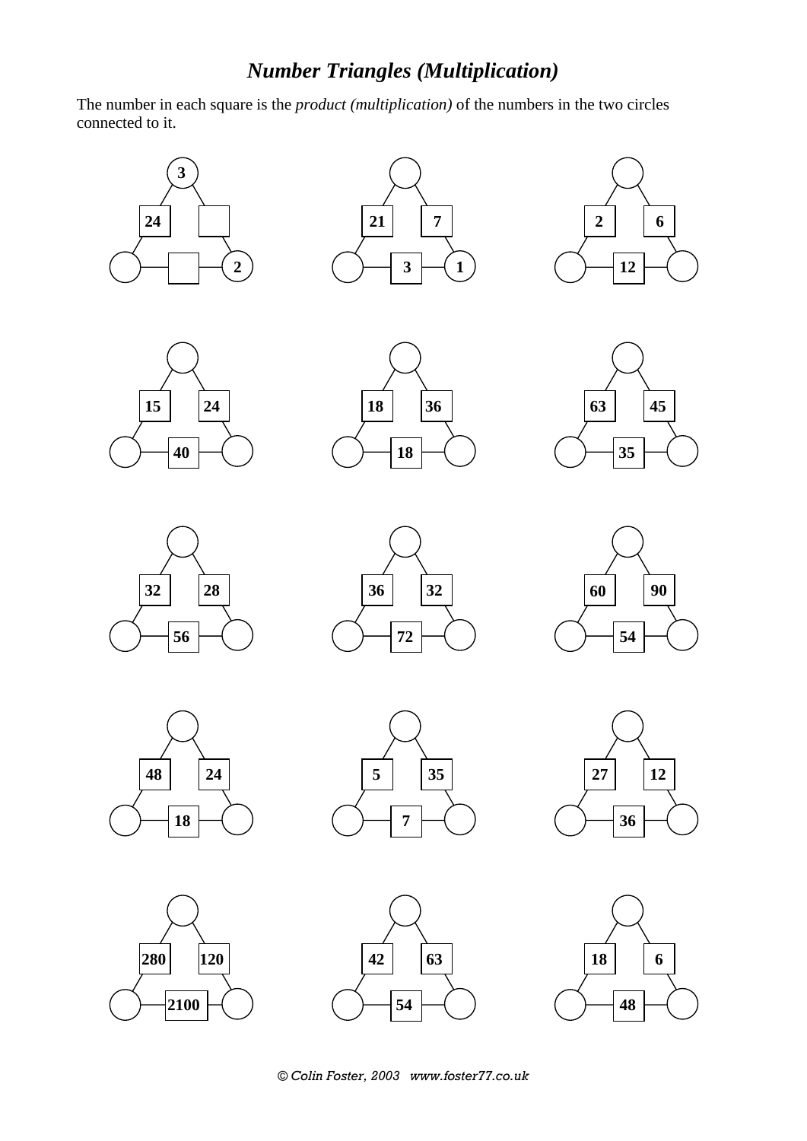## *Number Triangles (Multiplication)*

The number in each square is the *product (multiplication)* of the numbers in the two circles connected to it.































*© Colin Foster, 2003 www.foster77.co.uk*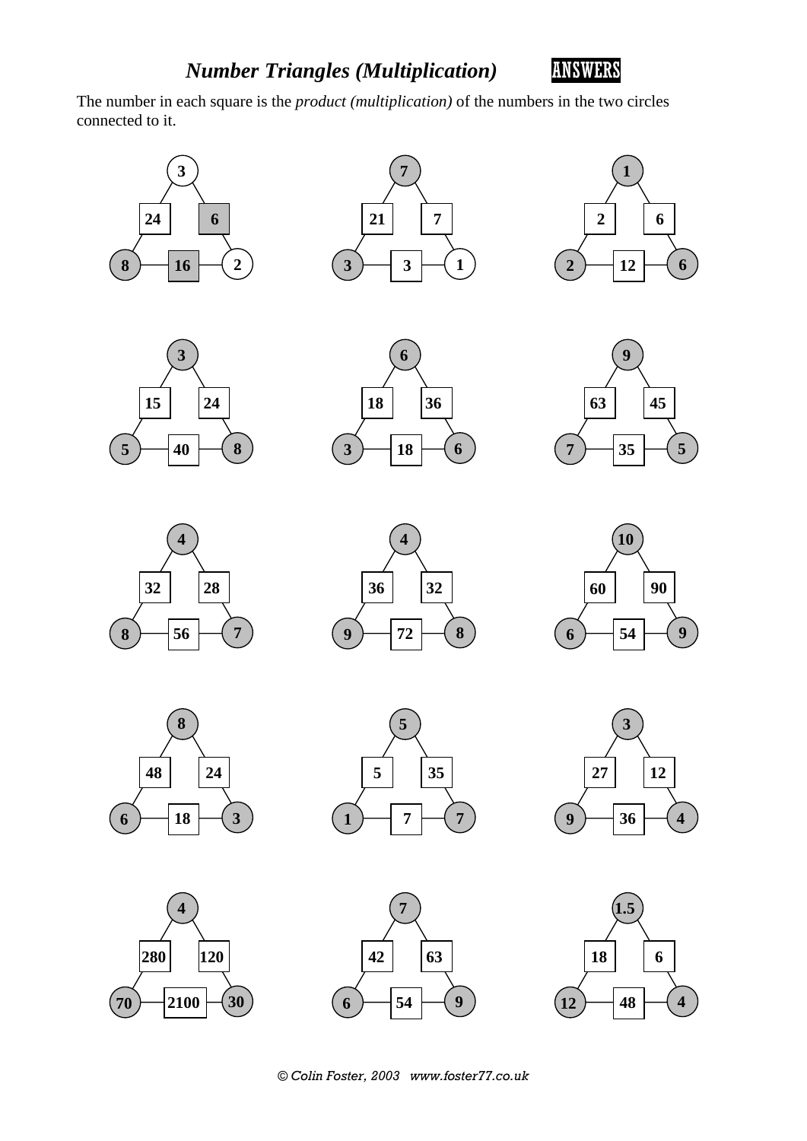

The number in each square is the *product (multiplication)* of the numbers in the two circles connected to it.































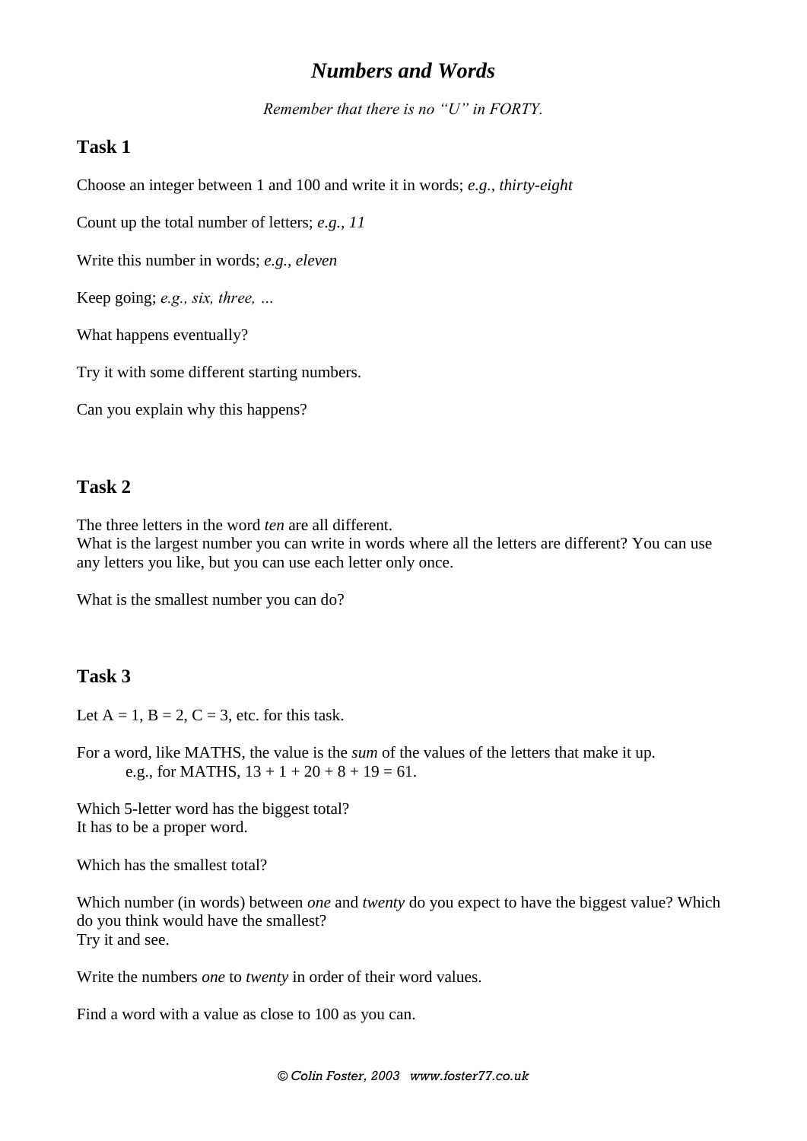## *Numbers and Words*

*Remember that there is no "U" in FORTY.*

#### **Task 1**

Choose an integer between 1 and 100 and write it in words; *e.g., thirty-eight*

Count up the total number of letters; *e.g., 11*

Write this number in words; *e.g., eleven*

Keep going; *e.g., six, three, …*

What happens eventually?

Try it with some different starting numbers.

Can you explain why this happens?

### **Task 2**

The three letters in the word *ten* are all different.

What is the largest number you can write in words where all the letters are different? You can use any letters you like, but you can use each letter only once.

What is the smallest number you can do?

#### **Task 3**

Let  $A = 1$ ,  $B = 2$ ,  $C = 3$ , etc. for this task.

For a word, like MATHS, the value is the *sum* of the values of the letters that make it up. e.g., for MATHS,  $13 + 1 + 20 + 8 + 19 = 61$ .

Which 5-letter word has the biggest total? It has to be a proper word.

Which has the smallest total?

Which number (in words) between *one* and *twenty* do you expect to have the biggest value? Which do you think would have the smallest? Try it and see.

Write the numbers *one* to *twenty* in order of their word values.

Find a word with a value as close to 100 as you can.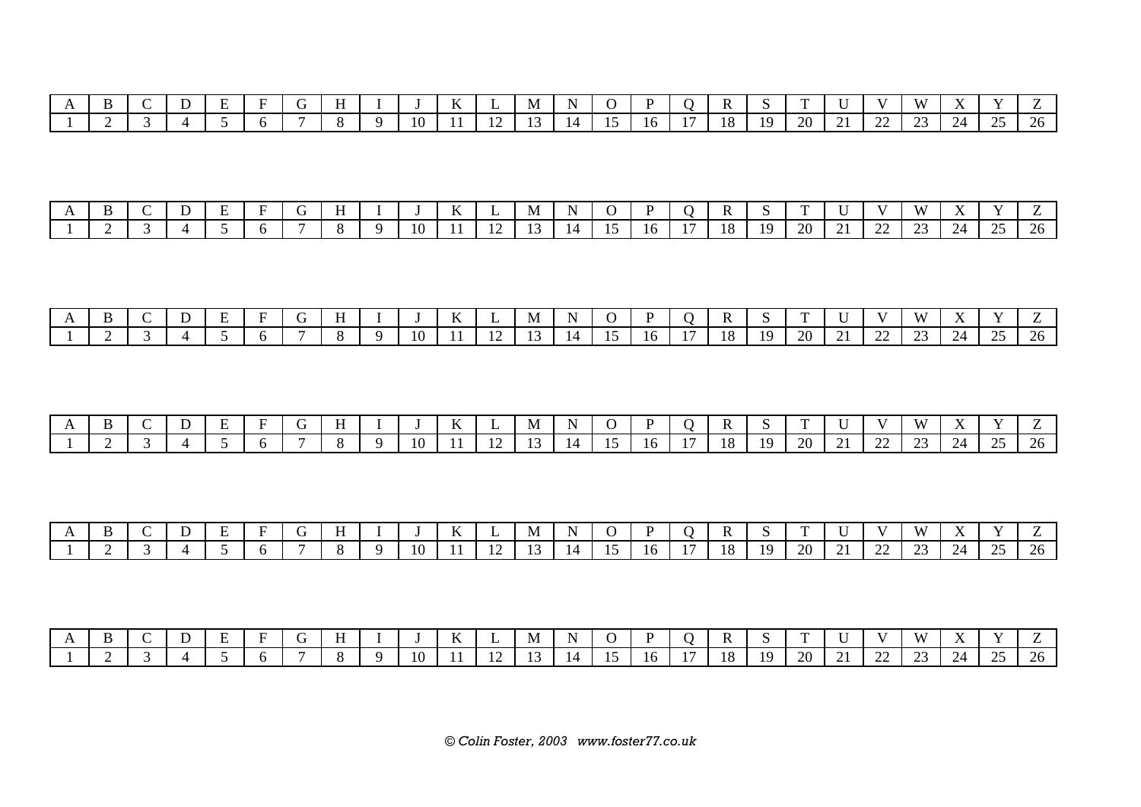|  |  | $\overline{\phantom{0}}$ |  |  |             | $- -$        | IVI. |  |    |               |     | $\sim$ | $\overline{\phantom{a}}$ | $\mathbf{v}$  | $\mathbf{v}$ |                       |   |
|--|--|--------------------------|--|--|-------------|--------------|------|--|----|---------------|-----|--------|--------------------------|---------------|--------------|-----------------------|---|
|  |  |                          |  |  | 10<br>- 117 | $\mathbf{1}$ |      |  | ιn | 1 O<br>$\sim$ | 1 Q | GΩ.    | --                       | $\sim$<br>سىس |              | $\cap$ $\subset$<br>⊷ | ້ |

|                |  |  |  |  |  |  |  |  |  |  | $V W X Y Z$ |  |
|----------------|--|--|--|--|--|--|--|--|--|--|-------------|--|
| $\overline{a}$ |  |  |  |  |  |  |  |  |  |  |             |  |

| $\mathbf{1}$ |  |  |  |  |    | $- -$ | M | N        |    |  | $\sim$ | $\sim$ |               | T T T<br>$\mathbf{w}$              |          |     |
|--------------|--|--|--|--|----|-------|---|----------|----|--|--------|--------|---------------|------------------------------------|----------|-----|
|              |  |  |  |  | 10 |       |   | $\Delta$ | 16 |  |        | 20     | $\sim$<br>--- | $\sim$<br>$\overline{\phantom{m}}$ | $\Omega$ | 26. |

| $\overline{1}$ |  |  |  |  | $\mathbf{r}$<br>V | N/L | N  |    | $\overline{\phantom{a}}$<br>к |    | $\sim$ |           | $\mathbf{v}$  | $X^2$       | $ -$                       | $ -$      |                          |
|----------------|--|--|--|--|-------------------|-----|----|----|-------------------------------|----|--------|-----------|---------------|-------------|----------------------------|-----------|--------------------------|
|                |  |  |  |  |                   |     | 14 | 10 | 18                            | 19 | 20     | <b>⊥∟</b> | $\sim$<br>--- | $\cap$<br>ت | $\gamma_{\varDelta}$<br>∠⊣ | $\bigcap$ | $\overline{\phantom{0}}$ |

| $\mathbf{1}$ |  |  |  |  | $- -$<br><b>II</b> | -NI | N |     |      |    |    |    |    |  | <u>_</u>  |
|--------------|--|--|--|--|--------------------|-----|---|-----|------|----|----|----|----|--|-----------|
|              |  |  |  |  |                    |     |   | 16. | - 18 | 10 | 20 | -- | -- |  | 26<br>້⇔ບ |

|  |  |  |  |  | $\mathbf{r}$<br>V | N/L | N  |  | $\overline{\phantom{a}}$ | $\sim$ | $\mathbf{r}$ |                 | $\mathbf{V}$  |                                |          |
|--|--|--|--|--|-------------------|-----|----|--|--------------------------|--------|--------------|-----------------|---------------|--------------------------------|----------|
|  |  |  |  |  |                   |     | 14 |  | 18                       | 1Q     | 20           | $\Omega$<br>--- | $\Omega$<br>ت | 25<br>$\overline{\phantom{m}}$ | $\omega$ |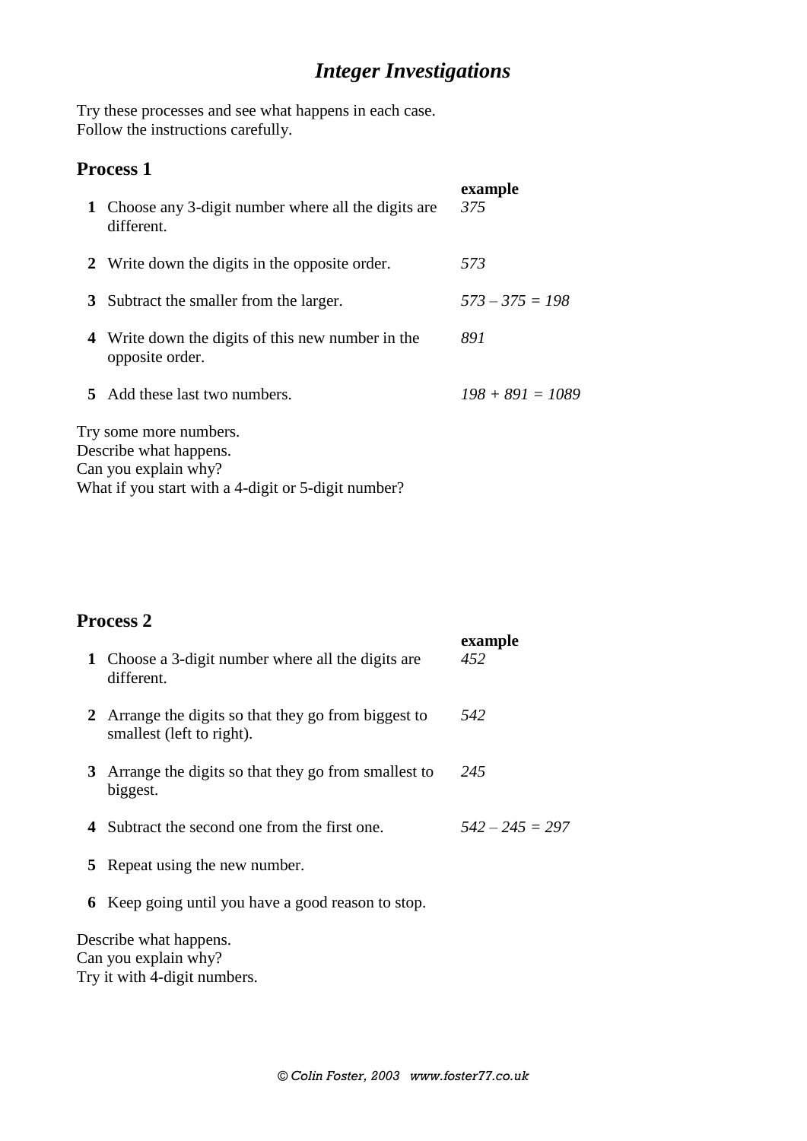## *Integer Investigations*

Try these processes and see what happens in each case. Follow the instructions carefully.

## **Process 1**

| 1 Choose any 3-digit number where all the digits are<br>different.       | example<br>375     |
|--------------------------------------------------------------------------|--------------------|
| 2 Write down the digits in the opposite order.                           | 573                |
| 3 Subtract the smaller from the larger.                                  | $573 - 375 = 198$  |
| 4 Write down the digits of this new number in the<br>opposite order.     | 891                |
| 5 Add these last two numbers.                                            | $198 + 891 = 1089$ |
| Try some more numbers.<br>Describe what happens.<br>Can you explain why? |                    |

What if you start with a 4-digit or 5-digit number?

## **Process 2**

|   | 1 Choose a 3-digit number where all the digits are<br>different.                  | example<br>452    |
|---|-----------------------------------------------------------------------------------|-------------------|
|   | 2 Arrange the digits so that they go from biggest to<br>smallest (left to right). | 542               |
|   | 3 Arrange the digits so that they go from smallest to<br>biggest.                 | 245               |
|   | 4 Subtract the second one from the first one.                                     | $542 - 245 = 297$ |
| 5 | Repeat using the new number.                                                      |                   |
|   | 6 Keep going until you have a good reason to stop.                                |                   |
|   | Describe what happens.                                                            |                   |

Can you explain why? Try it with 4-digit numbers.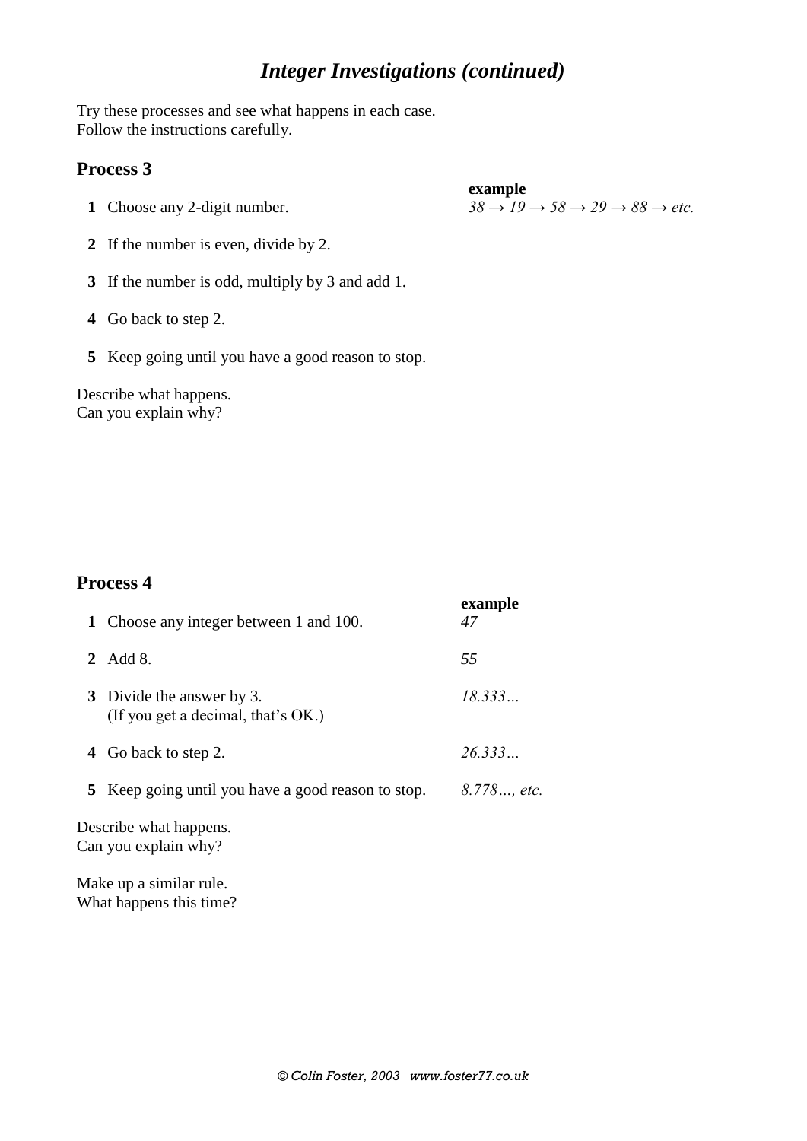## *Integer Investigations (continued)*

Try these processes and see what happens in each case. Follow the instructions carefully.

#### **Process 3**

**1** Choose any 2-digit number.

**example**  $38 \rightarrow 19 \rightarrow 58 \rightarrow 29 \rightarrow 88 \rightarrow etc.$ 

- **2** If the number is even, divide by 2.
- **3** If the number is odd, multiply by 3 and add 1.
- **4** Go back to step 2.
- **5** Keep going until you have a good reason to stop.

Describe what happens. Can you explain why?

### **Process 4**

| 1 Choose any integer between 1 and 100.                         | example<br>47 |
|-----------------------------------------------------------------|---------------|
| 2 Add 8.                                                        | 55            |
| 3 Divide the answer by 3.<br>(If you get a decimal, that's OK.) | 18.333        |
| 4 Go back to step 2.                                            | 26.333        |
| <b>5</b> Keep going until you have a good reason to stop.       | 8.778, etc.   |
| Describe what happens.                                          |               |

Can you explain why?

Make up a similar rule. What happens this time?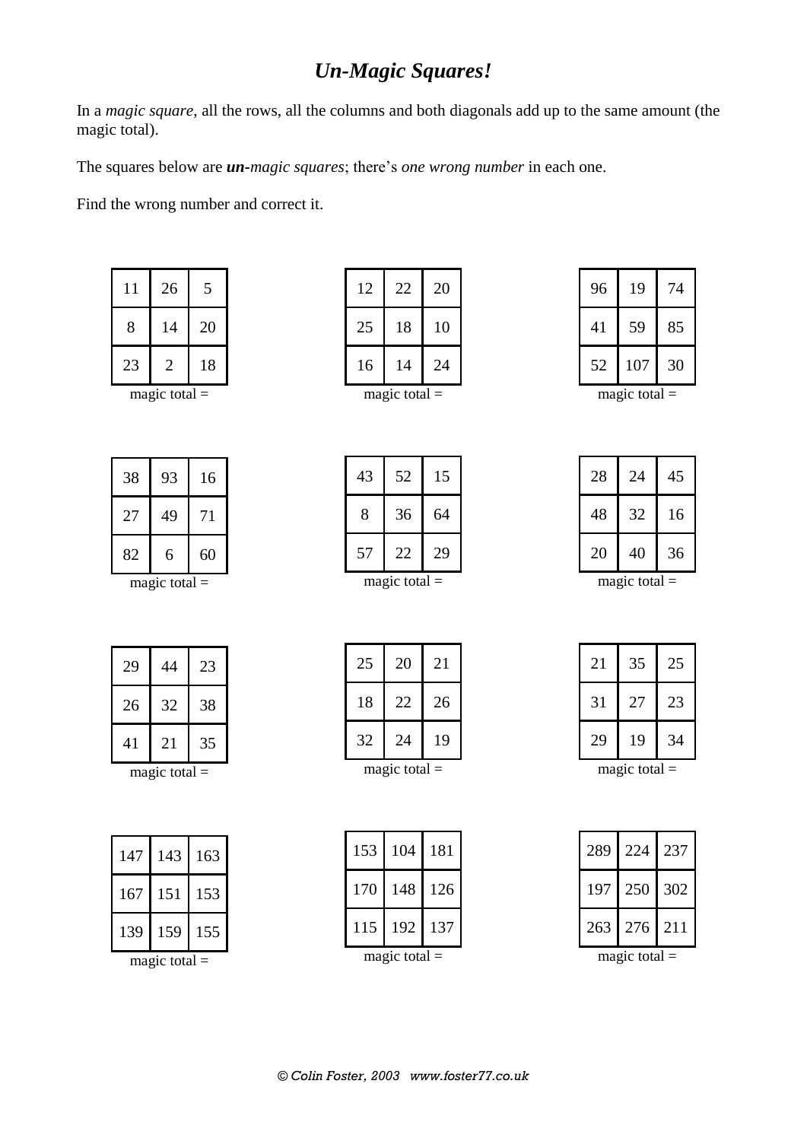## *Un-Magic Squares!*

In a *magic square*, all the rows, all the columns and both diagonals add up to the same amount (the magic total).

The squares below are *un-magic squares*; there's *one wrong number* in each one.

Find the wrong number and correct it.

| 14 | 20 |
|----|----|
| 2  | 18 |
|    | ×. |

magic total  $=$ 

| 93 | 16 |
|----|----|
| 49 | 71 |
| 6  | 60 |
|    |    |

magic total  $=$ 

| 29 | 44 | 23 |
|----|----|----|
| 26 | 32 | 38 |
| 41 | 21 | 35 |

| 147 | 143 | 163 |
|-----|-----|-----|
| 167 | 151 | 153 |
| 139 | 159 | 155 |

magic total  $=$ 

| 12              | 22 | 20 |
|-----------------|----|----|
| 25              | 18 | 10 |
| 16              | 14 | 24 |
| magic total $=$ |    |    |

52 15

36 64

22 29

magic total  $=$ 

| 19  | 74 |
|-----|----|
| 59  | 85 |
| 107 | 30 |
|     | ٠  |

magic total  $=$ 

| 28             | 24                  | 45 |
|----------------|---------------------|----|
| 48             | 32                  | 16 |
| 20             | 40                  | 36 |
| ma $\alpha$ 10 | $t \alpha t \alpha$ |    |

magic total  $=$ 

| 25              | 20 | 21 |
|-----------------|----|----|
| 18              | 22 | 26 |
| 32              | 24 | 19 |
| magic total $=$ |    |    |

| magic total |  |
|-------------|--|
|-------------|--|

| 21              | 35 | 25 |
|-----------------|----|----|
| 31              | 27 | 23 |
| 29              | 19 | 34 |
| magic total $=$ |    |    |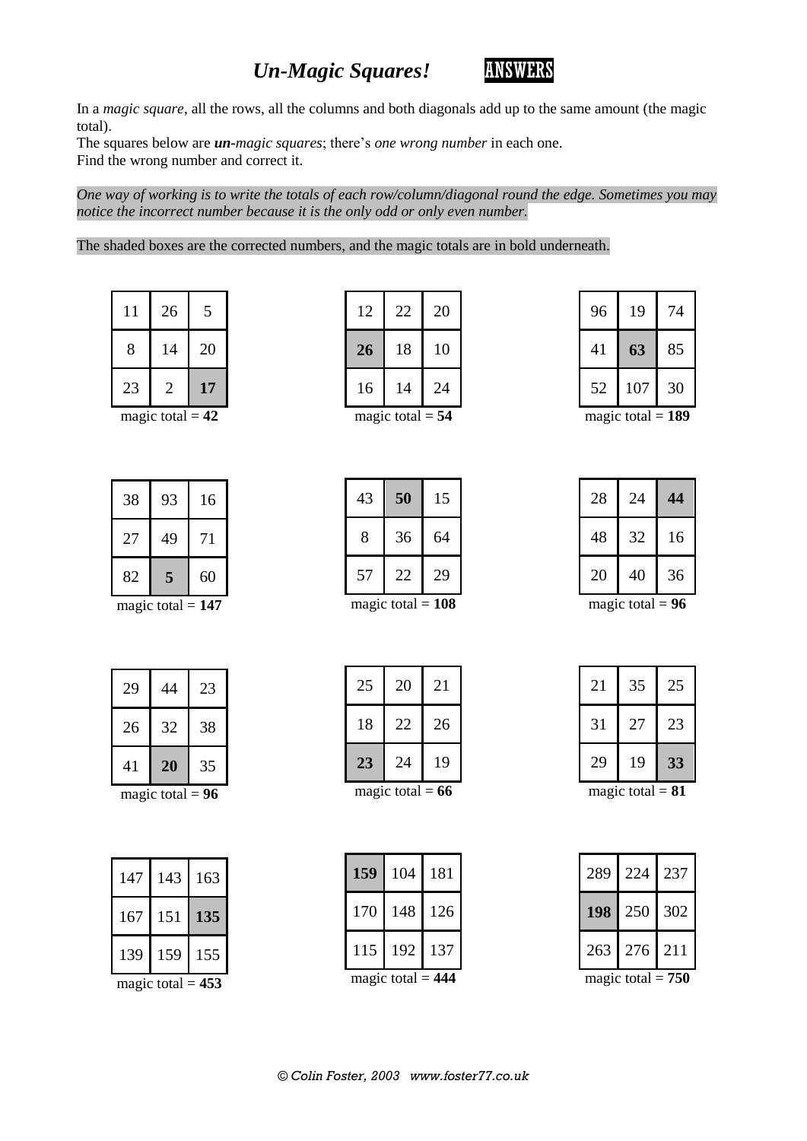## *Un-Magic Squares! ANSWERS*



In a *magic square*, all the rows, all the columns and both diagonals add up to the same amount (the magic total).

The squares below are *un-magic squares*; there's *one wrong number* in each one. Find the wrong number and correct it.

*One way of working is to write the totals of each row/column/diagonal round the edge. Sometimes you may notice the incorrect number because it is the only odd or only even number.*

#### The shaded boxes are the corrected numbers, and the magic totals are in bold underneath.

| 11 | 26 | 5  |
|----|----|----|
| 8  | 14 | 20 |
| 23 | 2  | 17 |

magic total  $= 42$ 

| 38 | 93 | 16 |
|----|----|----|
| 27 | 49 | 71 |
| 82 | 5  | 60 |

magic total  $= 147$ 

| 29 | 44 | 23 |
|----|----|----|
| 26 | 32 | 38 |
| 41 | 20 | 35 |

magic total  $= 96$ 

| 147             | 143 | 163 |
|-----------------|-----|-----|
| 167             | 151 | 135 |
| 139             | 159 | 155 |
| 53<br>amic tota |     |     |

magic total  $= 453$ 

| 12                      | 22 | 20 |  |
|-------------------------|----|----|--|
| 26                      | 18 | 10 |  |
| 16                      | 14 | 24 |  |
| magic total $-$ 54 $\,$ |    |    |  |

magic total  $= 54$ 

| 43 | 50                  | 15 |
|----|---------------------|----|
| 8  | 36                  | 64 |
| 57 | 22                  | 29 |
|    | magic total = $108$ |    |

| 25          | 20 | 21 |  |
|-------------|----|----|--|
| 18          | 22 | 26 |  |
| 23          | 24 | 19 |  |
| magic total |    |    |  |

magic total  $= 66$ 

| 159                 | 104 | 181 |  |
|---------------------|-----|-----|--|
| 170                 | 148 | 126 |  |
| 115                 | 192 | 137 |  |
| magic total = $444$ |     |     |  |

| 96 | 19  | 74 |
|----|-----|----|
| 41 | 63  | 85 |
| 52 | 107 | 30 |
|    |     |    |

magic total  $= 189$ 

| ĥ<br>magic total |    |    |
|------------------|----|----|
| 20               | 40 | 36 |
| 48               | 32 | 16 |
| 28               | 24 | 44 |

magic total  $= 96$ 

| 21 | 35 | 25 |  |  |
|----|----|----|--|--|
| 31 | 27 | 23 |  |  |
| 29 | 19 | 33 |  |  |
|    |    |    |  |  |

magic total  $= 81$ 

| 263 | 276 | 211 |  |
|-----|-----|-----|--|
| 198 | 250 | 302 |  |
| 289 | 224 | 237 |  |

magic total  $= 750$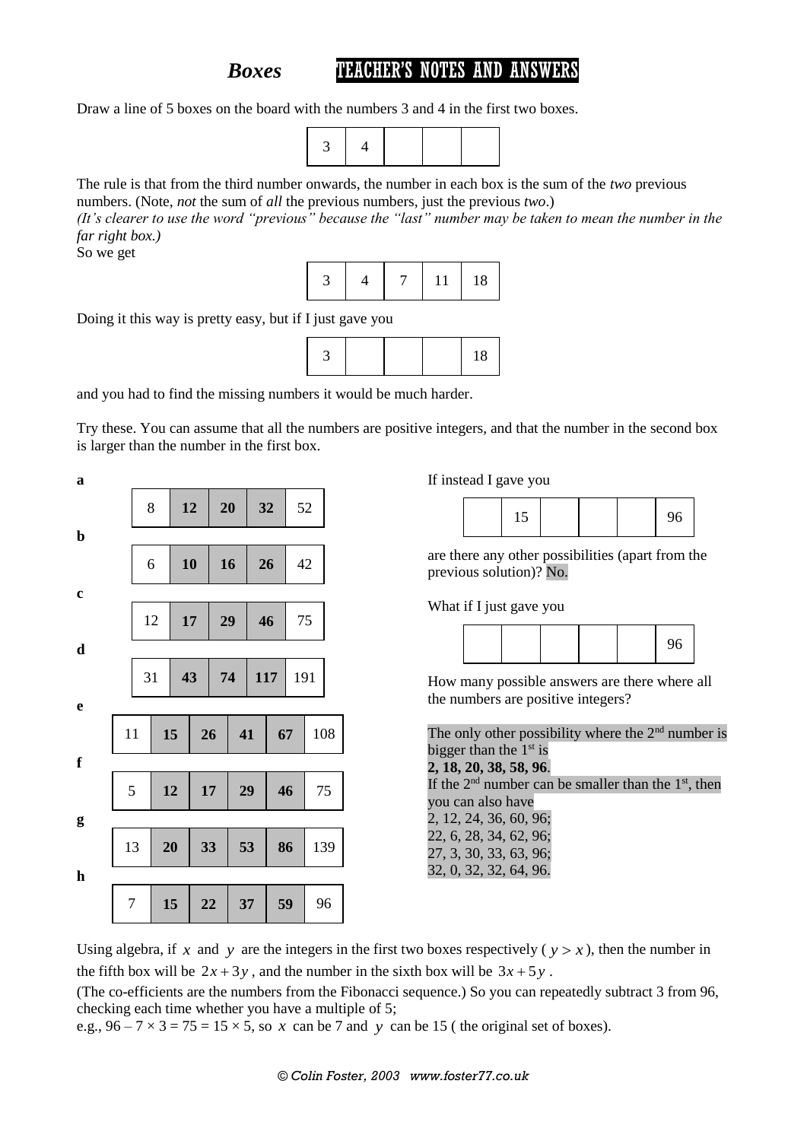## **Boxes TEACHER'S NOTES AND ANSWERS**

Draw a line of 5 boxes on the board with the numbers 3 and 4 in the first two boxes.



The rule is that from the third number onwards, the number in each box is the sum of the *two* previous numbers. (Note, *not* the sum of *all* the previous numbers, just the previous *two*.) *(It's clearer to use the word "previous" because the "last" number may be taken to mean the number in the far right box.)*

So we get



Doing it this way is pretty easy, but if I just gave you



and you had to find the missing numbers it would be much harder.

Try these. You can assume that all the numbers are positive integers, and that the number in the second box is larger than the number in the first box.

| a           |                |    |    |    |     |     | If instead I gave you                                                                                                             |
|-------------|----------------|----|----|----|-----|-----|-----------------------------------------------------------------------------------------------------------------------------------|
|             | 8              | 12 | 20 |    | 32  | 52  | 15<br>96                                                                                                                          |
| $\mathbf b$ | 6              | 10 | 16 |    | 26  | 42  | are there any other possibilities (apart from the<br>previous solution)? No.                                                      |
| $\mathbf c$ | 12             | 17 | 29 |    | 46  | 75  | What if I just gave you                                                                                                           |
| $\mathbf d$ |                |    |    |    |     |     | 96                                                                                                                                |
| e           | 31             | 43 | 74 |    | 117 | 191 | How many possible answers are there where all<br>the numbers are positive integers?                                               |
|             | 11             | 15 | 26 | 41 | 67  | 108 | The only other possibility where the $2nd$ number is<br>bigger than the $1st$ is                                                  |
| $\mathbf f$ | 5              | 12 | 17 | 29 | 46  | 75  | 2, 18, 20, 38, 58, 96.<br>If the $2nd$ number can be smaller than the $1st$ , then<br>you can also have<br>2, 12, 24, 36, 60, 96; |
| g           | 13             | 20 | 33 | 53 | 86  | 139 | 22, 6, 28, 34, 62, 96;<br>27, 3, 30, 33, 63, 96;                                                                                  |
| $\mathbf h$ |                |    |    |    |     |     | 32, 0, 32, 32, 64, 96.                                                                                                            |
|             | $\overline{7}$ | 15 | 22 | 37 | 59  | 96  |                                                                                                                                   |

Using algebra, if x and y are the integers in the first two boxes respectively ( $y > x$ ), then the number in the fifth box will be  $2x + 3y$ , and the number in the sixth box will be  $3x + 5y$ .

(The co-efficients are the numbers from the Fibonacci sequence.) So you can repeatedly subtract 3 from 96, checking each time whether you have a multiple of 5;

e.g.,  $96 - 7 \times 3 = 75 = 15 \times 5$ , so x can be 7 and y can be 15 (the original set of boxes).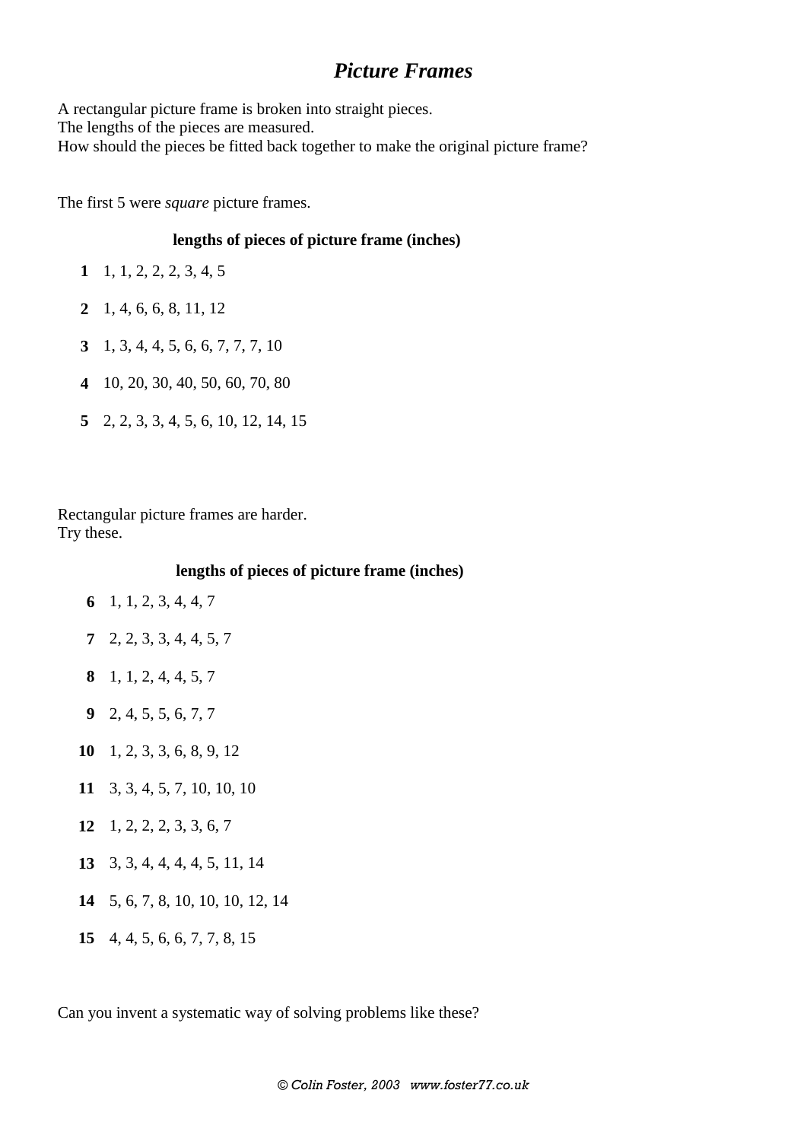## *Picture Frames*

A rectangular picture frame is broken into straight pieces. The lengths of the pieces are measured. How should the pieces be fitted back together to make the original picture frame?

The first 5 were *square* picture frames.

#### **lengths of pieces of picture frame (inches)**

- **1** 1, 1, 2, 2, 2, 3, 4, 5
- **2** 1, 4, 6, 6, 8, 11, 12
- **3** 1, 3, 4, 4, 5, 6, 6, 7, 7, 7, 10
- **4** 10, 20, 30, 40, 50, 60, 70, 80
- **5** 2, 2, 3, 3, 4, 5, 6, 10, 12, 14, 15

Rectangular picture frames are harder. Try these.

**lengths of pieces of picture frame (inches)**

- **6** 1, 1, 2, 3, 4, 4, 7
- **7** 2, 2, 3, 3, 4, 4, 5, 7
- **8** 1, 1, 2, 4, 4, 5, 7
- **9** 2, 4, 5, 5, 6, 7, 7
- **10** 1, 2, 3, 3, 6, 8, 9, 12
- **11** 3, 3, 4, 5, 7, 10, 10, 10
- **12** 1, 2, 2, 2, 3, 3, 6, 7
- **13** 3, 3, 4, 4, 4, 4, 5, 11, 14
- **14** 5, 6, 7, 8, 10, 10, 10, 12, 14
- **15** 4, 4, 5, 6, 6, 7, 7, 8, 15

Can you invent a systematic way of solving problems like these?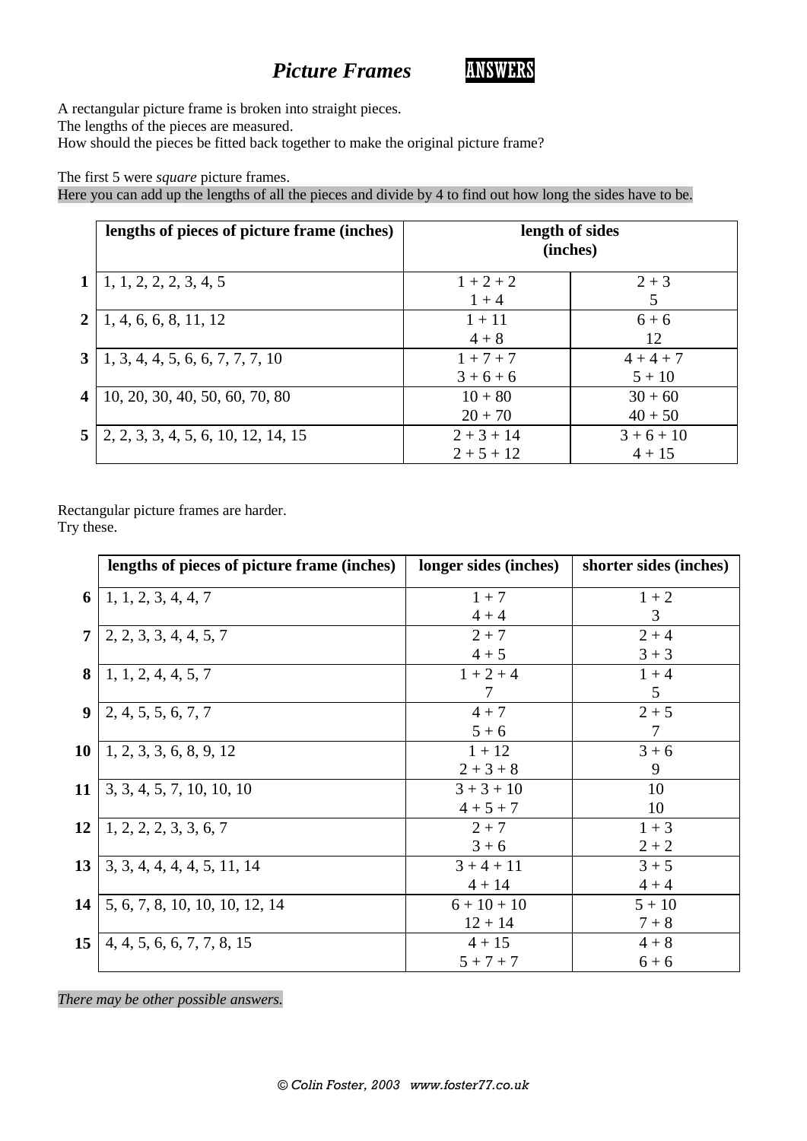## **Picture Frames ANSWERS**



A rectangular picture frame is broken into straight pieces. The lengths of the pieces are measured.

How should the pieces be fitted back together to make the original picture frame?

#### The first 5 were *square* picture frames.

Here you can add up the lengths of all the pieces and divide by 4 to find out how long the sides have to be.

|                         | lengths of pieces of picture frame (inches) |                              | length of sides<br>(inches) |
|-------------------------|---------------------------------------------|------------------------------|-----------------------------|
| 1 <sup>1</sup>          | 1, 1, 2, 2, 2, 3, 4, 5                      | $1 + 2 + 2$<br>$1 + 4$       | $2 + 3$<br>5                |
| 2 <sub>1</sub>          | 1, 4, 6, 6, 8, 11, 12                       | $1 + 11$<br>$4 + 8$          | $6 + 6$<br>12               |
| 3 <sup>1</sup>          | 1, 3, 4, 4, 5, 6, 6, 7, 7, 7, 10            | $1 + 7 + 7$<br>$3+6+6$       | $4+4+7$<br>$5 + 10$         |
| $\overline{\mathbf{4}}$ | 10, 20, 30, 40, 50, 60, 70, 80              | $10 + 80$<br>$20 + 70$       | $30 + 60$<br>$40 + 50$      |
| 5 <sup>1</sup>          | 2, 2, 3, 3, 4, 5, 6, 10, 12, 14, 15         | $2 + 3 + 14$<br>$2 + 5 + 12$ | $3+6+10$<br>$4 + 15$        |

Rectangular picture frames are harder.

Try these.

|    | lengths of pieces of picture frame (inches) | longer sides (inches) | shorter sides (inches) |
|----|---------------------------------------------|-----------------------|------------------------|
| 6  | 1, 1, 2, 3, 4, 4, 7                         | $1 + 7$               | $1 + 2$                |
|    |                                             | $4 + 4$               | 3                      |
| 7  | 2, 2, 3, 3, 4, 4, 5, 7                      | $2 + 7$               | $2 + 4$                |
|    |                                             | $4 + 5$               | $3 + 3$                |
| 8  | 1, 1, 2, 4, 4, 5, 7                         | $1 + 2 + 4$           | $1 + 4$                |
|    |                                             | 7                     | 5                      |
| 9  | 2, 4, 5, 5, 6, 7, 7                         | $4 + 7$               | $2 + 5$                |
|    |                                             | $5 + 6$               | 7                      |
| 10 | 1, 2, 3, 3, 6, 8, 9, 12                     | $1 + 12$              | $3 + 6$                |
|    |                                             | $2 + 3 + 8$           | 9                      |
| 11 | 3, 3, 4, 5, 7, 10, 10, 10                   | $3 + 3 + 10$          | 10                     |
|    |                                             | $4 + 5 + 7$           | 10                     |
| 12 | 1, 2, 2, 2, 3, 3, 6, 7                      | $2 + 7$               | $1 + 3$                |
|    |                                             | $3 + 6$               | $2 + 2$                |
| 13 | 3, 3, 4, 4, 4, 4, 5, 11, 14                 | $3 + 4 + 11$          | $3 + 5$                |
|    |                                             | $4 + 14$              | $4 + 4$                |
| 14 | 5, 6, 7, 8, 10, 10, 10, 12, 14              | $6 + 10 + 10$         | $5 + 10$               |
|    |                                             | $12 + 14$             | $7 + 8$                |
| 15 | 4, 4, 5, 6, 6, 7, 7, 8, 15                  | $4 + 15$              | $4 + 8$                |
|    |                                             | $5 + 7 + 7$           | $6 + 6$                |

*There may be other possible answers.*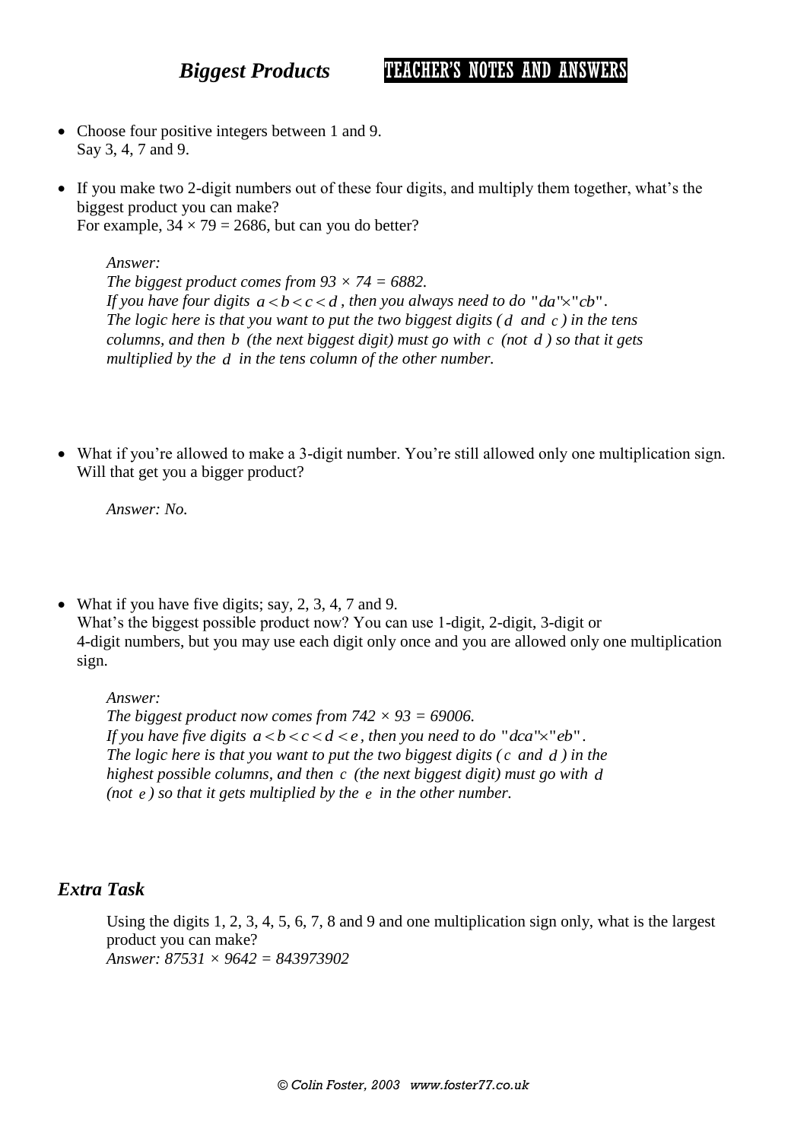*Biggest Products* TEACHER'S NOTES AND ANSWERS

- Choose four positive integers between 1 and 9. Say 3, 4, 7 and 9.
- If you make two 2-digit numbers out of these four digits, and multiply them together, what's the biggest product you can make? For example,  $34 \times 79 = 2686$ , but can you do better?

*Answer:*

*The biggest product comes from 93 × 74 = 6882.* If you have four digits  $a < b < c < d$ , then you always need to do "da" $\times$ "cb". *The logic here is that you want to put the two biggest digits ( d and c ) in the tens columns, and then b* (*the next biggest digit*) must go with *c* (*not d*) so that it gets *multiplied by the d in the tens column of the other number.*

 What if you're allowed to make a 3-digit number. You're still allowed only one multiplication sign. Will that get you a bigger product?

*Answer: No.*

• What if you have five digits; say, 2, 3, 4, 7 and 9. What's the biggest possible product now? You can use 1-digit, 2-digit, 3-digit or 4-digit numbers, but you may use each digit only once and you are allowed only one multiplication sign.

*Answer:*

*The biggest product now comes from*  $742 \times 93 = 69006$ *.* If you have five digits  $a < b < c < d < e$ , then you need to do "dca" $\times$ "eb". *The logic here is that you want to put the two biggest digits ( c and d ) in the highest possible columns, and then c (the next biggest digit) must go with d (not e ) so that it gets multiplied by the e in the other number.*

### *Extra Task*

Using the digits 1, 2, 3, 4, 5, 6, 7, 8 and 9 and one multiplication sign only, what is the largest product you can make? *Answer: 87531 × 9642 = 843973902*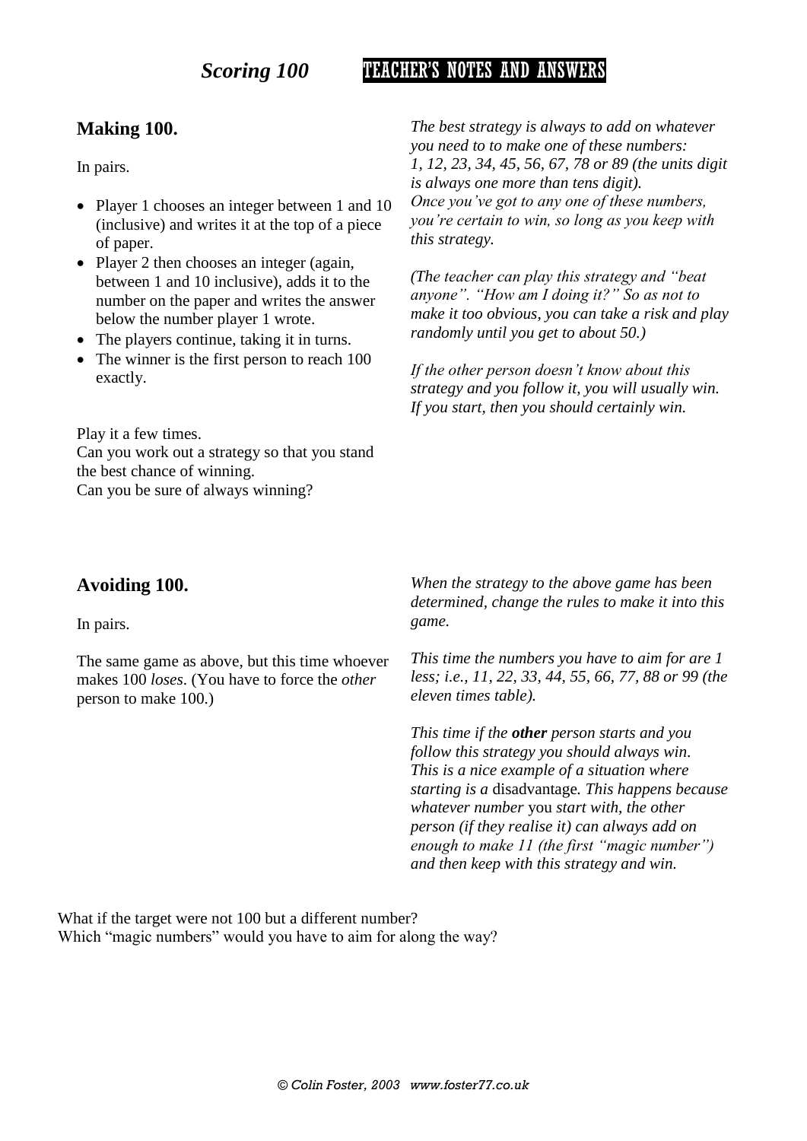## **Scoring 100 TEACHER'S NOTES AND ANSWERS**

### **Making 100.**

In pairs.

- Player 1 chooses an integer between 1 and 10 (inclusive) and writes it at the top of a piece of paper.
- Player 2 then chooses an integer (again, between 1 and 10 inclusive), adds it to the number on the paper and writes the answer below the number player 1 wrote.
- The players continue, taking it in turns.
- The winner is the first person to reach 100 exactly.

Play it a few times. Can you work out a strategy so that you stand the best chance of winning. Can you be sure of always winning?

*The best strategy is always to add on whatever you need to to make one of these numbers: 1, 12, 23, 34, 45, 56, 67, 78 or 89 (the units digit is always one more than tens digit). Once you've got to any one of these numbers, you're certain to win, so long as you keep with this strategy.*

*(The teacher can play this strategy and "beat anyone". "How am I doing it?" So as not to make it too obvious, you can take a risk and play randomly until you get to about 50.)*

*If the other person doesn't know about this strategy and you follow it, you will usually win. If you start, then you should certainly win.*

#### **Avoiding 100.**

In pairs.

The same game as above, but this time whoever makes 100 *loses*. (You have to force the *other* person to make 100.)

*When the strategy to the above game has been determined, change the rules to make it into this game.*

*This time the numbers you have to aim for are 1 less; i.e., 11, 22, 33, 44, 55, 66, 77, 88 or 99 (the eleven times table).*

*This time if the other person starts and you follow this strategy you should always win. This is a nice example of a situation where starting is a* disadvantage*. This happens because whatever number* you *start with, the other person (if they realise it) can always add on enough to make 11 (the first "magic number") and then keep with this strategy and win.*

What if the target were not 100 but a different number? Which "magic numbers" would you have to aim for along the way?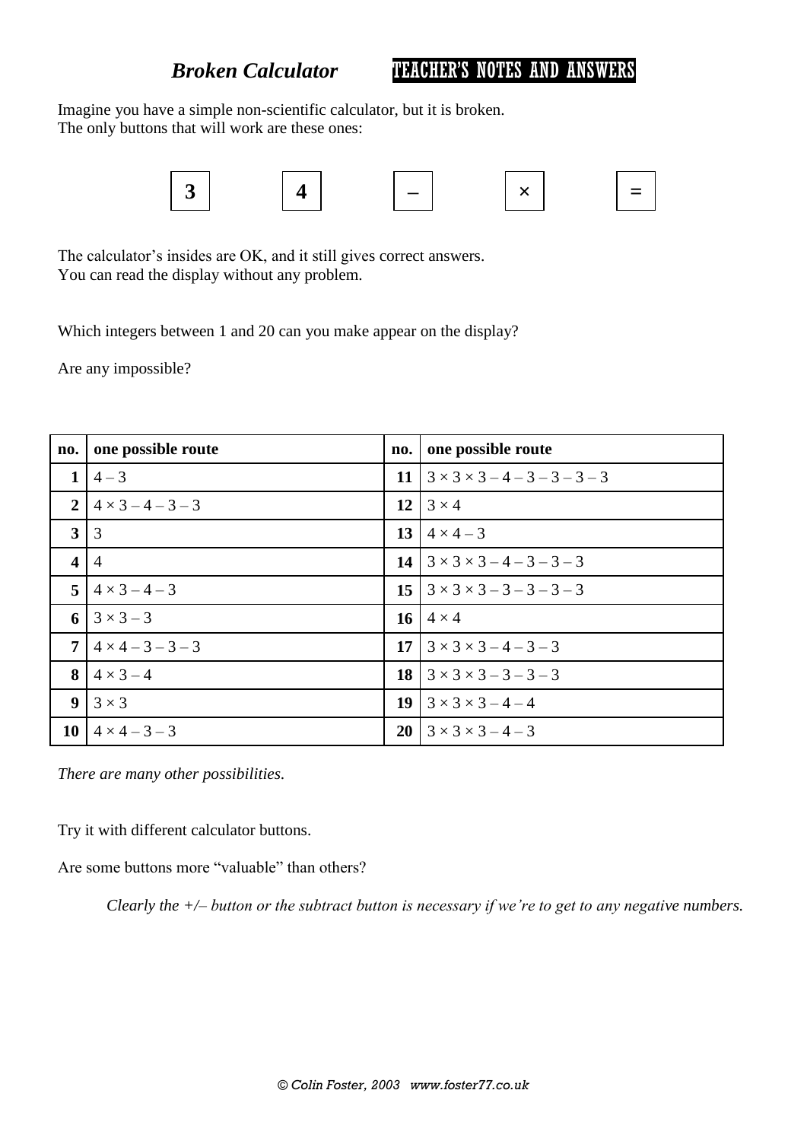*Broken Calculator* TEACHER'S NOTES AND ANSWERS

Imagine you have a simple non-scientific calculator, but it is broken. The only buttons that will work are these ones:



The calculator's insides are OK, and it still gives correct answers. You can read the display without any problem.

Which integers between 1 and 20 can you make appear on the display?

Are any impossible?

| no.                     | one possible route       | no. | one possible route                            |
|-------------------------|--------------------------|-----|-----------------------------------------------|
| 1                       | $4 - 3$                  | 11  | $3 \times 3 \times 3 - 4 - 3 - 3 - 3 - 3$     |
| 2 <sup>1</sup>          | $4 \times 3 - 4 - 3 - 3$ |     | $12 \mid 3 \times 4$                          |
| 3                       | 3                        |     | 13   $4 \times 4 - 3$                         |
| $\overline{\mathbf{4}}$ | $\overline{A}$           |     | 14 $3 \times 3 \times 3 - 4 - 3 - 3 - 3$      |
| 5 <sup>1</sup>          | $4 \times 3 - 4 - 3$     |     | $15 \mid 3 \times 3 \times 3 - 3 - 3 - 3 - 3$ |
|                         | 6 $3 \times 3 - 3$       |     | 16   $4 \times 4$                             |
| $\overline{7}$          | $4 \times 4 - 3 - 3 - 3$ |     | 17   $3 \times 3 \times 3 - 4 - 3 - 3$        |
| 8                       | $4 \times 3 - 4$         |     | 18   $3 \times 3 \times 3 - 3 - 3 - 3$        |
| 9 <sup>1</sup>          | $3 \times 3$             |     | 19   $3 \times 3 \times 3 - 4 - 4$            |
| 10 <sup>1</sup>         | $4 \times 4 - 3 - 3$     |     | 20   $3 \times 3 \times 3 - 4 - 3$            |

*There are many other possibilities.*

Try it with different calculator buttons.

Are some buttons more "valuable" than others?

*Clearly the +/– button or the subtract button is necessary if we're to get to any negative numbers.*